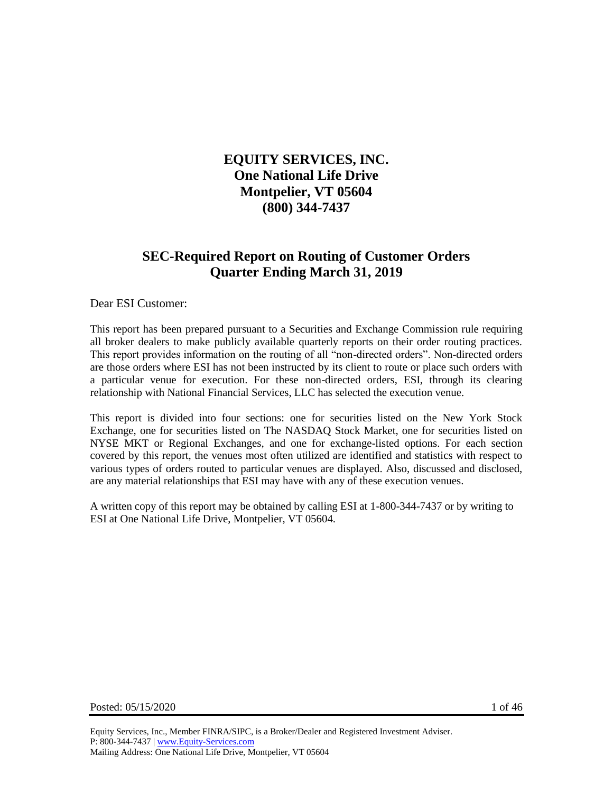# **EQUITY SERVICES, INC. One National Life Drive Montpelier, VT 05604 (800) 344-7437**

# **SEC-Required Report on Routing of Customer Orders Quarter Ending March 31, 2019**

Dear ESI Customer:

This report has been prepared pursuant to a Securities and Exchange Commission rule requiring all broker dealers to make publicly available quarterly reports on their order routing practices. This report provides information on the routing of all "non-directed orders". Non-directed orders are those orders where ESI has not been instructed by its client to route or place such orders with a particular venue for execution. For these non-directed orders, ESI, through its clearing relationship with National Financial Services, LLC has selected the execution venue.

This report is divided into four sections: one for securities listed on the New York Stock Exchange, one for securities listed on The NASDAQ Stock Market, one for securities listed on NYSE MKT or Regional Exchanges, and one for exchange-listed options. For each section covered by this report, the venues most often utilized are identified and statistics with respect to various types of orders routed to particular venues are displayed. Also, discussed and disclosed, are any material relationships that ESI may have with any of these execution venues.

A written copy of this report may be obtained by calling ESI at 1-800-344-7437 or by writing to ESI at One National Life Drive, Montpelier, VT 05604.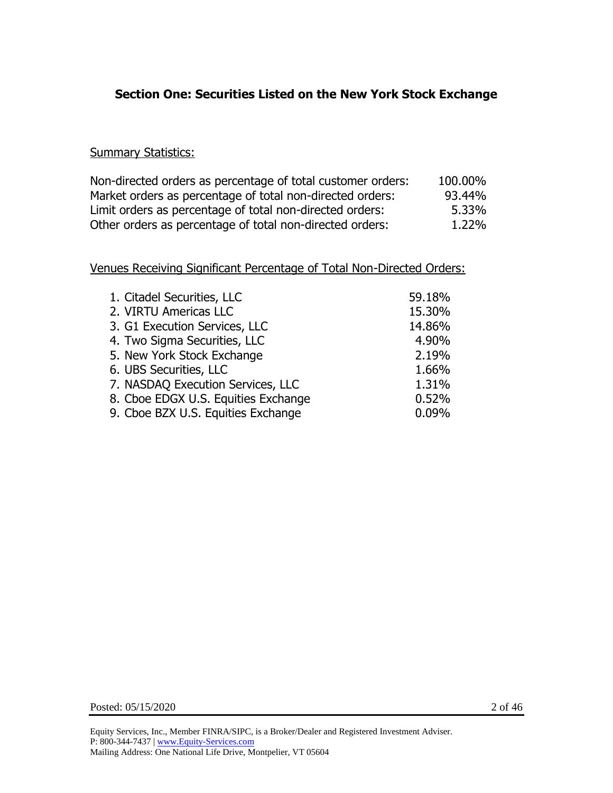# **Section One: Securities Listed on the New York Stock Exchange**

#### **Summary Statistics:**

| Non-directed orders as percentage of total customer orders: | 100.00% |
|-------------------------------------------------------------|---------|
| Market orders as percentage of total non-directed orders:   | 93.44%  |
| Limit orders as percentage of total non-directed orders:    | 5.33%   |
| Other orders as percentage of total non-directed orders:    | 1.22%   |

| 1. Citadel Securities, LLC          | 59.18% |
|-------------------------------------|--------|
| 2. VIRTU Americas LLC               | 15.30% |
| 3. G1 Execution Services, LLC       | 14.86% |
| 4. Two Sigma Securities, LLC        | 4.90%  |
| 5. New York Stock Exchange          | 2.19%  |
| 6. UBS Securities, LLC              | 1.66%  |
| 7. NASDAQ Execution Services, LLC   | 1.31%  |
| 8. Cboe EDGX U.S. Equities Exchange | 0.52%  |
| 9. Cboe BZX U.S. Equities Exchange  | 0.09%  |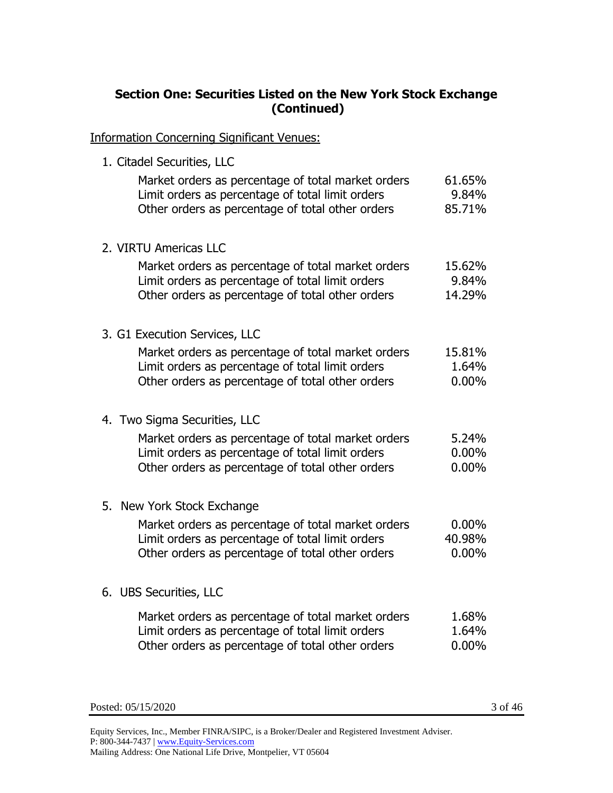### **Section One: Securities Listed on the New York Stock Exchange (Continued)**

Information Concerning Significant Venues:

1. Citadel Securities, LLC

| Market orders as percentage of total market orders<br>Limit orders as percentage of total limit orders<br>Other orders as percentage of total other orders | 61.65%<br>9.84%<br>85.71% |
|------------------------------------------------------------------------------------------------------------------------------------------------------------|---------------------------|
| 2. VIRTU Americas LLC                                                                                                                                      |                           |
| Market orders as percentage of total market orders<br>Limit orders as percentage of total limit orders                                                     | 15.62%<br>9.84%           |
| Other orders as percentage of total other orders                                                                                                           | 14.29%                    |
| 3. G1 Execution Services, LLC                                                                                                                              |                           |
| Market orders as percentage of total market orders                                                                                                         | 15.81%                    |
| Limit orders as percentage of total limit orders<br>Other orders as percentage of total other orders                                                       | 1.64%<br>$0.00\%$         |
|                                                                                                                                                            |                           |
| 4. Two Sigma Securities, LLC                                                                                                                               |                           |
| Market orders as percentage of total market orders                                                                                                         | 5.24%                     |
| Limit orders as percentage of total limit orders<br>Other orders as percentage of total other orders                                                       | $0.00\%$<br>$0.00\%$      |
|                                                                                                                                                            |                           |
| 5. New York Stock Exchange                                                                                                                                 |                           |
| Market orders as percentage of total market orders                                                                                                         | $0.00\%$                  |
| Limit orders as percentage of total limit orders                                                                                                           | 40.98%                    |
| Other orders as percentage of total other orders                                                                                                           | 0.00%                     |
| 6. UBS Securities, LLC                                                                                                                                     |                           |
| Market orders as percentage of total market orders                                                                                                         | 1.68%                     |
| Limit orders as percentage of total limit orders                                                                                                           | 1.64%                     |
| Other orders as percentage of total other orders                                                                                                           | 0.00%                     |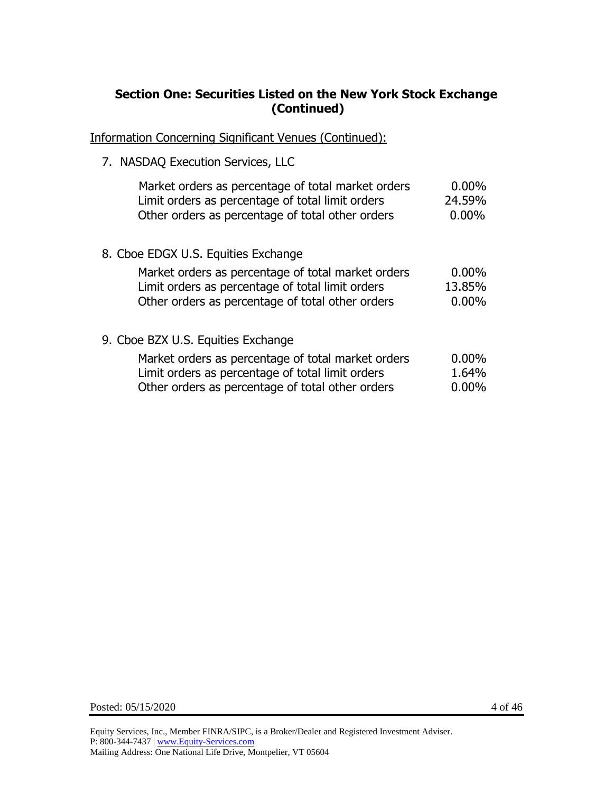### **Section One: Securities Listed on the New York Stock Exchange (Continued)**

Information Concerning Significant Venues (Continued):

7. NASDAQ Execution Services, LLC

| Market orders as percentage of total market orders | $0.00\%$ |
|----------------------------------------------------|----------|
| Limit orders as percentage of total limit orders   | 24.59%   |
| Other orders as percentage of total other orders   | $0.00\%$ |
| 8. Cboe EDGX U.S. Equities Exchange                |          |
| Market orders as percentage of total market orders | $0.00\%$ |
| Limit orders as percentage of total limit orders   | 13.85%   |
| Other orders as percentage of total other orders   | $0.00\%$ |
| 9. Cboe BZX U.S. Equities Exchange                 |          |
| Market orders as percentage of total market orders | $0.00\%$ |
| Limit orders as percentage of total limit orders   | 1.64%    |
| Other orders as percentage of total other orders   | $0.00\%$ |

Posted: 05/15/2020 4 of 46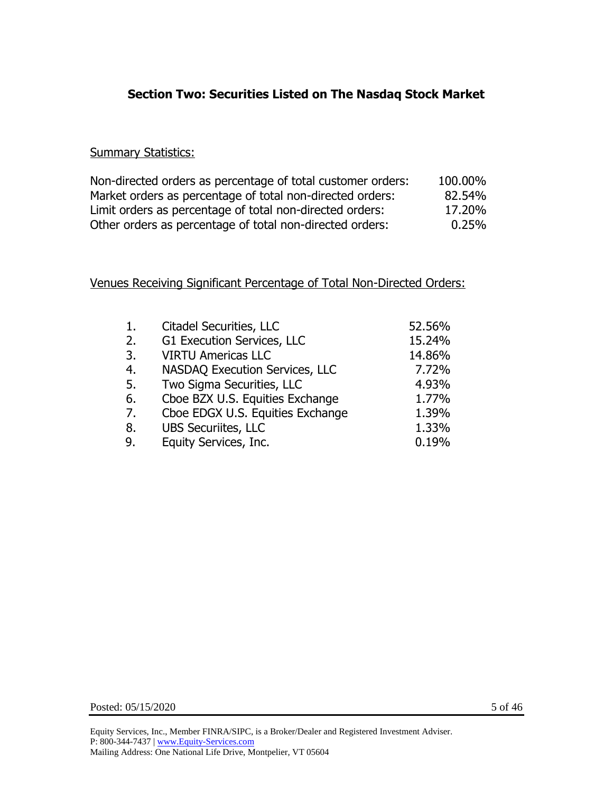# **Section Two: Securities Listed on The Nasdaq Stock Market**

#### **Summary Statistics:**

| Non-directed orders as percentage of total customer orders: | 100.00% |
|-------------------------------------------------------------|---------|
| Market orders as percentage of total non-directed orders:   | 82.54%  |
| Limit orders as percentage of total non-directed orders:    | 17.20%  |
| Other orders as percentage of total non-directed orders:    | 0.25%   |

| 1. | Citadel Securities, LLC               | 52.56% |
|----|---------------------------------------|--------|
| 2. | G1 Execution Services, LLC            | 15.24% |
| 3. | <b>VIRTU Americas LLC</b>             | 14.86% |
| 4. | <b>NASDAQ Execution Services, LLC</b> | 7.72%  |
| 5. | Two Sigma Securities, LLC             | 4.93%  |
| 6. | Cboe BZX U.S. Equities Exchange       | 1.77%  |
| 7. | Cboe EDGX U.S. Equities Exchange      | 1.39%  |
| 8. | <b>UBS Securiites, LLC</b>            | 1.33%  |
| 9. | Equity Services, Inc.                 | 0.19%  |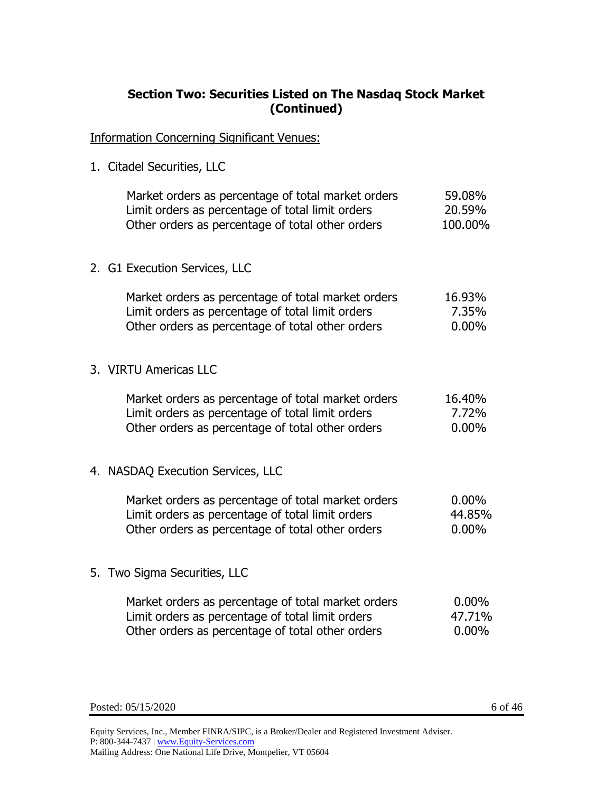# **Section Two: Securities Listed on The Nasdaq Stock Market (Continued)**

Information Concerning Significant Venues:

1. Citadel Securities, LLC

|  | Market orders as percentage of total market orders<br>Limit orders as percentage of total limit orders<br>Other orders as percentage of total other orders | 59.08%<br>20.59%<br>100.00% |
|--|------------------------------------------------------------------------------------------------------------------------------------------------------------|-----------------------------|
|  | 2. G1 Execution Services, LLC                                                                                                                              |                             |
|  | Market orders as percentage of total market orders<br>Limit orders as percentage of total limit orders<br>Other orders as percentage of total other orders | 16.93%<br>7.35%<br>$0.00\%$ |

3. VIRTU Americas LLC

| Market orders as percentage of total market orders | 16.40%   |
|----------------------------------------------------|----------|
| Limit orders as percentage of total limit orders   | 7.72%    |
| Other orders as percentage of total other orders   | $0.00\%$ |

4. NASDAQ Execution Services, LLC

| Market orders as percentage of total market orders | $0.00\%$ |
|----------------------------------------------------|----------|
| Limit orders as percentage of total limit orders   | 44.85%   |
| Other orders as percentage of total other orders   | $0.00\%$ |

5. Two Sigma Securities, LLC

| Market orders as percentage of total market orders | $0.00\%$ |
|----------------------------------------------------|----------|
| Limit orders as percentage of total limit orders   | 47.71%   |
| Other orders as percentage of total other orders   | $0.00\%$ |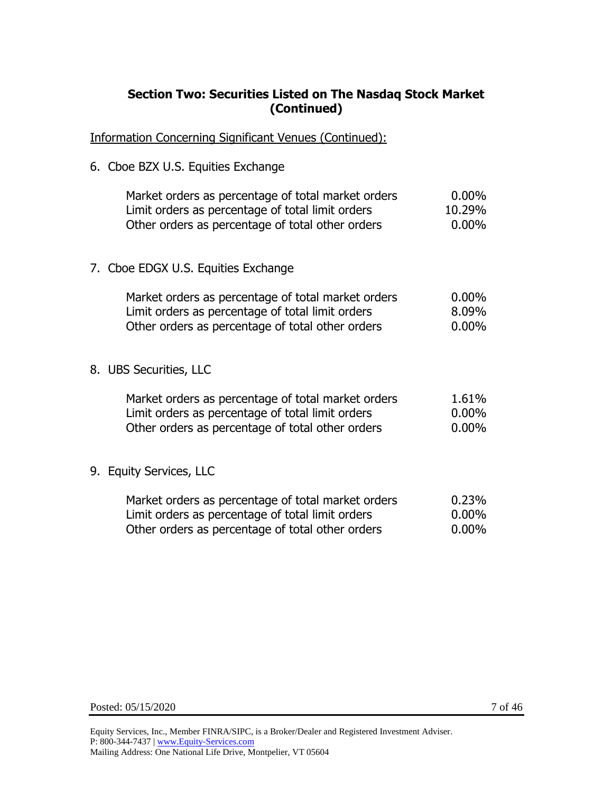# **Section Two: Securities Listed on The Nasdaq Stock Market (Continued)**

Information Concerning Significant Venues (Continued):

6. Cboe BZX U.S. Equities Exchange

| Market orders as percentage of total market orders | $0.00\%$ |
|----------------------------------------------------|----------|
| Limit orders as percentage of total limit orders   | 10.29%   |
| Other orders as percentage of total other orders   | $0.00\%$ |

7. Cboe EDGX U.S. Equities Exchange

| $0.00\%$ |
|----------|
| 8.09%    |
| 0.00%    |
|          |

8. UBS Securities, LLC

| Market orders as percentage of total market orders | 1.61%    |
|----------------------------------------------------|----------|
| Limit orders as percentage of total limit orders   | $0.00\%$ |
| Other orders as percentage of total other orders   | $0.00\%$ |

## 9. Equity Services, LLC

| Market orders as percentage of total market orders | 0.23%    |
|----------------------------------------------------|----------|
| Limit orders as percentage of total limit orders   | $0.00\%$ |
| Other orders as percentage of total other orders   | $0.00\%$ |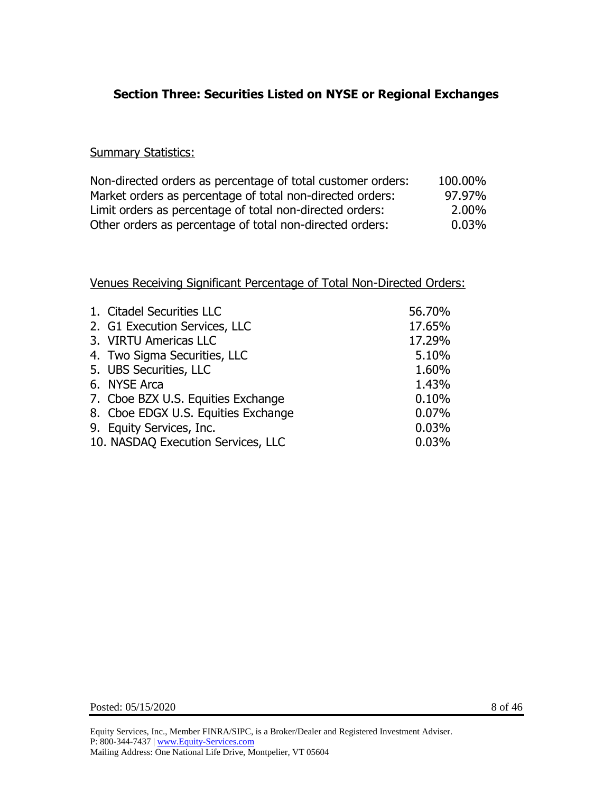# **Section Three: Securities Listed on NYSE or Regional Exchanges**

#### **Summary Statistics:**

| Non-directed orders as percentage of total customer orders: | 100.00% |
|-------------------------------------------------------------|---------|
| Market orders as percentage of total non-directed orders:   | 97.97%  |
| Limit orders as percentage of total non-directed orders:    | 2.00%   |
| Other orders as percentage of total non-directed orders:    | 0.03%   |

| 1. Citadel Securities LLC           | 56.70% |
|-------------------------------------|--------|
| 2. G1 Execution Services, LLC       | 17.65% |
| 3. VIRTU Americas LLC               | 17.29% |
| 4. Two Sigma Securities, LLC        | 5.10%  |
| 5. UBS Securities, LLC              | 1.60%  |
| 6. NYSE Arca                        | 1.43%  |
| 7. Cboe BZX U.S. Equities Exchange  | 0.10%  |
| 8. Cboe EDGX U.S. Equities Exchange | 0.07%  |
| 9. Equity Services, Inc.            | 0.03%  |
| 10. NASDAQ Execution Services, LLC  | 0.03%  |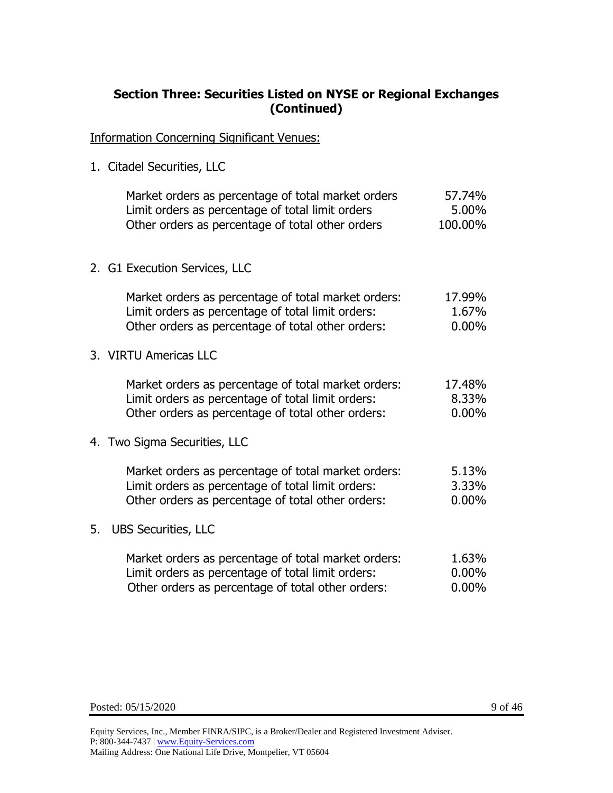## **Section Three: Securities Listed on NYSE or Regional Exchanges (Continued)**

Information Concerning Significant Venues:

1. Citadel Securities, LLC

|    | Market orders as percentage of total market orders<br>Limit orders as percentage of total limit orders<br>Other orders as percentage of total other orders    | 57.74%<br>5.00%<br>100.00%  |
|----|---------------------------------------------------------------------------------------------------------------------------------------------------------------|-----------------------------|
|    | 2. G1 Execution Services, LLC                                                                                                                                 |                             |
|    | Market orders as percentage of total market orders:<br>Limit orders as percentage of total limit orders:<br>Other orders as percentage of total other orders: | 17.99%<br>1.67%<br>$0.00\%$ |
|    | 3. VIRTU Americas LLC                                                                                                                                         |                             |
|    | Market orders as percentage of total market orders:<br>Limit orders as percentage of total limit orders:<br>Other orders as percentage of total other orders: | 17.48%<br>8.33%<br>$0.00\%$ |
|    | 4. Two Sigma Securities, LLC                                                                                                                                  |                             |
|    | Market orders as percentage of total market orders:<br>Limit orders as percentage of total limit orders:<br>Other orders as percentage of total other orders: | 5.13%<br>3.33%<br>0.00%     |
| 5. | <b>UBS Securities, LLC</b>                                                                                                                                    |                             |
|    | Market orders as percentage of total market orders:<br>Limit orders as percentage of total limit orders:<br>Other orders as percentage of total other orders: | 1.63%<br>0.00%<br>$0.00\%$  |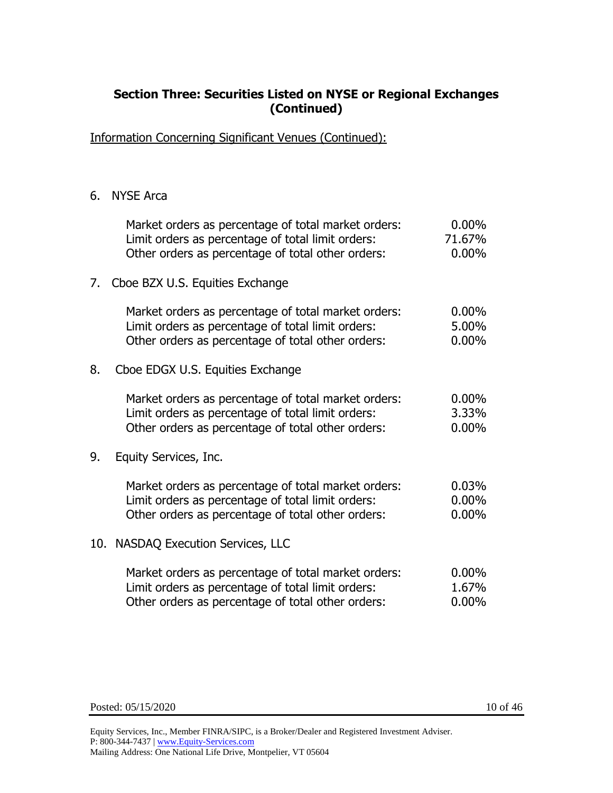### **Section Three: Securities Listed on NYSE or Regional Exchanges (Continued)**

Information Concerning Significant Venues (Continued):

#### 6. NYSE Arca

|    | Market orders as percentage of total market orders:<br>Limit orders as percentage of total limit orders:<br>Other orders as percentage of total other orders: | $0.00\%$<br>71.67%<br>$0.00\%$ |
|----|---------------------------------------------------------------------------------------------------------------------------------------------------------------|--------------------------------|
| 7. | Cboe BZX U.S. Equities Exchange                                                                                                                               |                                |
|    | Market orders as percentage of total market orders:<br>Limit orders as percentage of total limit orders:<br>Other orders as percentage of total other orders: | $0.00\%$<br>5.00%<br>$0.00\%$  |
| 8. | Cboe EDGX U.S. Equities Exchange                                                                                                                              |                                |
|    | Market orders as percentage of total market orders:<br>Limit orders as percentage of total limit orders:<br>Other orders as percentage of total other orders: | $0.00\%$<br>3.33%<br>$0.00\%$  |
| 9. | Equity Services, Inc.                                                                                                                                         |                                |
|    | Market orders as percentage of total market orders:<br>Limit orders as percentage of total limit orders:<br>Other orders as percentage of total other orders: | 0.03%<br>$0.00\%$<br>$0.00\%$  |
|    | 10. NASDAQ Execution Services, LLC                                                                                                                            |                                |
|    | Market orders as percentage of total market orders:<br>Limit orders as percentage of total limit orders:<br>Other orders as percentage of total other orders: | $0.00\%$<br>1.67%<br>$0.00\%$  |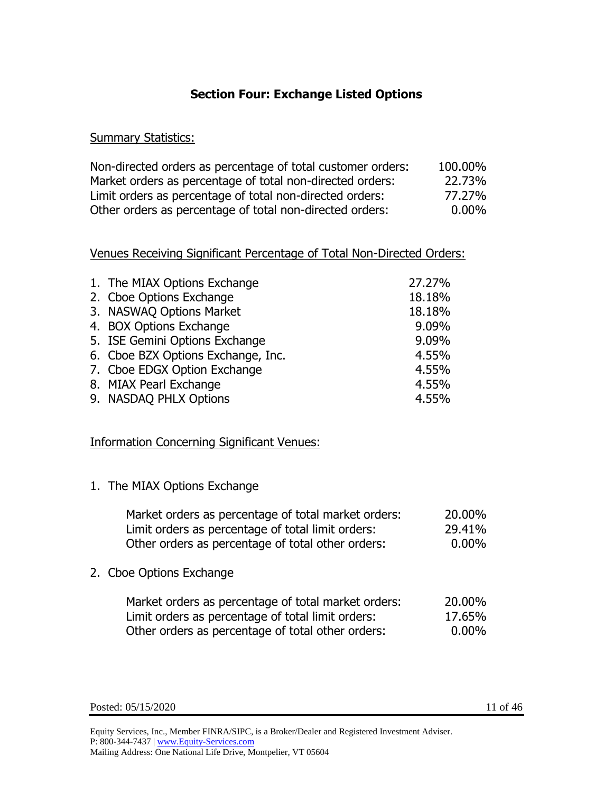## **Section Four: Exchange Listed Options**

#### **Summary Statistics:**

| Non-directed orders as percentage of total customer orders: | 100.00%  |
|-------------------------------------------------------------|----------|
| Market orders as percentage of total non-directed orders:   | 22.73%   |
| Limit orders as percentage of total non-directed orders:    | 77.27%   |
| Other orders as percentage of total non-directed orders:    | $0.00\%$ |

#### Venues Receiving Significant Percentage of Total Non-Directed Orders:

| 1. The MIAX Options Exchange       | 27.27% |
|------------------------------------|--------|
| 2. Cboe Options Exchange           | 18.18% |
| 3. NASWAQ Options Market           | 18.18% |
| 4. BOX Options Exchange            | 9.09%  |
| 5. ISE Gemini Options Exchange     | 9.09%  |
| 6. Cboe BZX Options Exchange, Inc. | 4.55%  |
| 7. Cboe EDGX Option Exchange       | 4.55%  |
| 8. MIAX Pearl Exchange             | 4.55%  |
| 9. NASDAQ PHLX Options             | 4.55%  |

### Information Concerning Significant Venues:

1. The MIAX Options Exchange

| Market orders as percentage of total market orders: | 20,00%   |
|-----------------------------------------------------|----------|
| Limit orders as percentage of total limit orders:   | 29.41%   |
| Other orders as percentage of total other orders:   | $0.00\%$ |

2. Cboe Options Exchange

| Market orders as percentage of total market orders: | 20.00% |
|-----------------------------------------------------|--------|
| Limit orders as percentage of total limit orders:   | 17.65% |
| Other orders as percentage of total other orders:   | 0.00%  |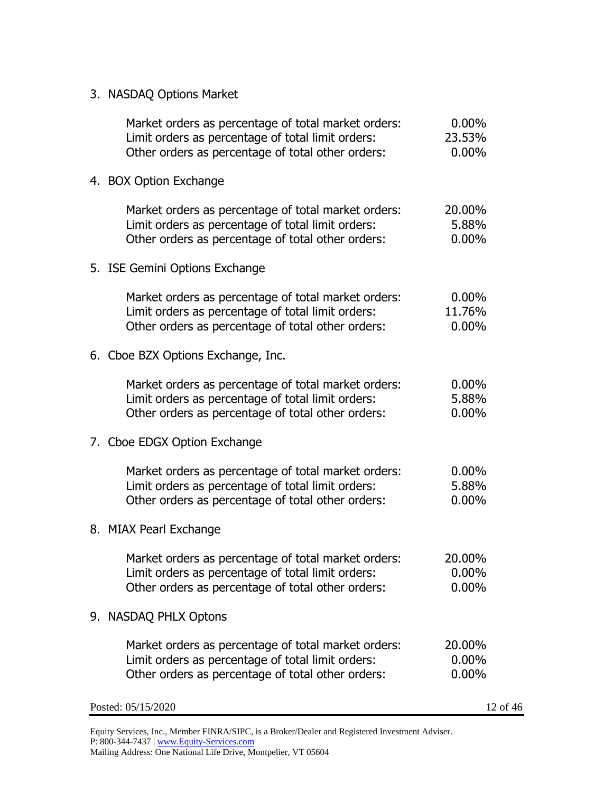| 3. NASDAQ Options Market |  |
|--------------------------|--|
|--------------------------|--|

| Market orders as percentage of total market orders:<br>Limit orders as percentage of total limit orders:<br>Other orders as percentage of total other orders: | $0.00\%$<br>23.53%<br>$0.00\%$ |
|---------------------------------------------------------------------------------------------------------------------------------------------------------------|--------------------------------|
| 4. BOX Option Exchange                                                                                                                                        |                                |
| Market orders as percentage of total market orders:<br>Limit orders as percentage of total limit orders:<br>Other orders as percentage of total other orders: | 20.00%<br>5.88%<br>$0.00\%$    |
| 5. ISE Gemini Options Exchange                                                                                                                                |                                |
| Market orders as percentage of total market orders:<br>Limit orders as percentage of total limit orders:<br>Other orders as percentage of total other orders: | $0.00\%$<br>11.76%<br>$0.00\%$ |
| 6. Cboe BZX Options Exchange, Inc.                                                                                                                            |                                |
| Market orders as percentage of total market orders:<br>Limit orders as percentage of total limit orders:<br>Other orders as percentage of total other orders: | $0.00\%$<br>5.88%<br>0.00%     |
| 7. Cboe EDGX Option Exchange                                                                                                                                  |                                |
| Market orders as percentage of total market orders:<br>Limit orders as percentage of total limit orders:<br>Other orders as percentage of total other orders: | $0.00\%$<br>5.88%<br>0.00%     |
| 8. MIAX Pearl Exchange                                                                                                                                        |                                |
| Market orders as percentage of total market orders:<br>Limit orders as percentage of total limit orders:<br>Other orders as percentage of total other orders: | 20.00%<br>$0.00\%$<br>0.00%    |
| 9. NASDAQ PHLX Optons                                                                                                                                         |                                |
| Market orders as percentage of total market orders:<br>Limit orders as percentage of total limit orders:<br>Other orders as percentage of total other orders: | 20.00%<br>$0.00\%$<br>$0.00\%$ |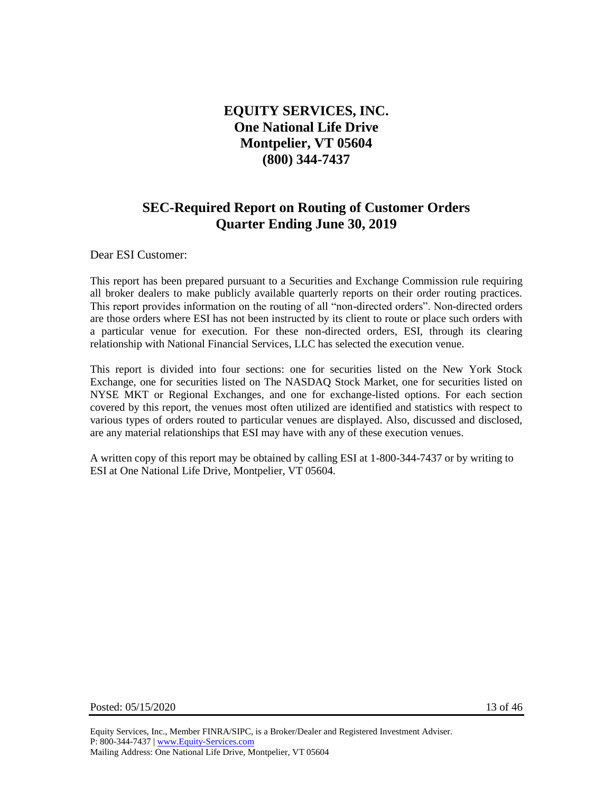# **EQUITY SERVICES, INC. One National Life Drive Montpelier, VT 05604 (800) 344-7437**

# **SEC-Required Report on Routing of Customer Orders Quarter Ending June 30, 2019**

Dear ESI Customer:

This report has been prepared pursuant to a Securities and Exchange Commission rule requiring all broker dealers to make publicly available quarterly reports on their order routing practices. This report provides information on the routing of all "non-directed orders". Non-directed orders are those orders where ESI has not been instructed by its client to route or place such orders with a particular venue for execution. For these non-directed orders, ESI, through its clearing relationship with National Financial Services, LLC has selected the execution venue.

This report is divided into four sections: one for securities listed on the New York Stock Exchange, one for securities listed on The NASDAQ Stock Market, one for securities listed on NYSE MKT or Regional Exchanges, and one for exchange-listed options. For each section covered by this report, the venues most often utilized are identified and statistics with respect to various types of orders routed to particular venues are displayed. Also, discussed and disclosed, are any material relationships that ESI may have with any of these execution venues.

A written copy of this report may be obtained by calling ESI at 1-800-344-7437 or by writing to ESI at One National Life Drive, Montpelier, VT 05604.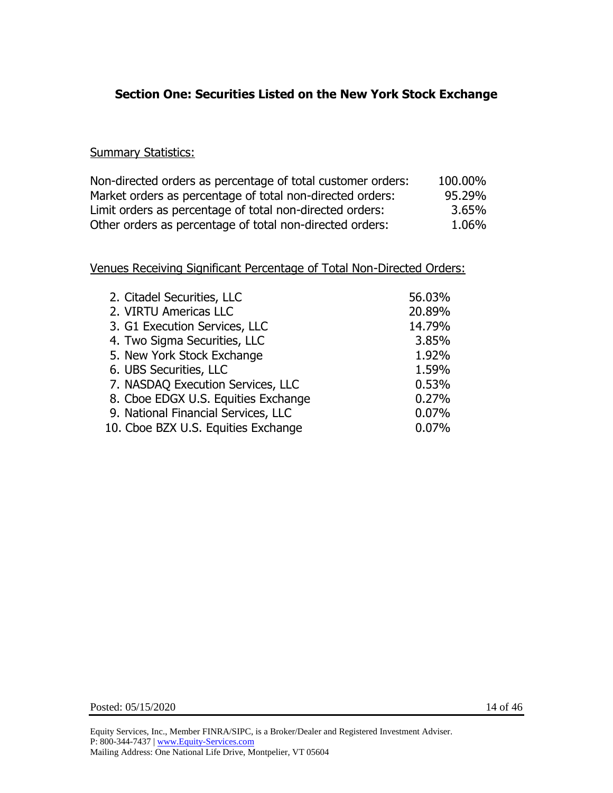## **Section One: Securities Listed on the New York Stock Exchange**

#### **Summary Statistics:**

| Non-directed orders as percentage of total customer orders: | 100.00% |
|-------------------------------------------------------------|---------|
| Market orders as percentage of total non-directed orders:   | 95.29%  |
| Limit orders as percentage of total non-directed orders:    | 3.65%   |
| Other orders as percentage of total non-directed orders:    | 1.06%   |

| 2. Citadel Securities, LLC          | 56.03% |
|-------------------------------------|--------|
| 2. VIRTU Americas LLC               | 20.89% |
| 3. G1 Execution Services, LLC       | 14.79% |
| 4. Two Sigma Securities, LLC        | 3.85%  |
| 5. New York Stock Exchange          | 1.92%  |
| 6. UBS Securities, LLC              | 1.59%  |
| 7. NASDAQ Execution Services, LLC   | 0.53%  |
| 8. Cboe EDGX U.S. Equities Exchange | 0.27%  |
| 9. National Financial Services, LLC | 0.07%  |
| 10. Cboe BZX U.S. Equities Exchange | 0.07%  |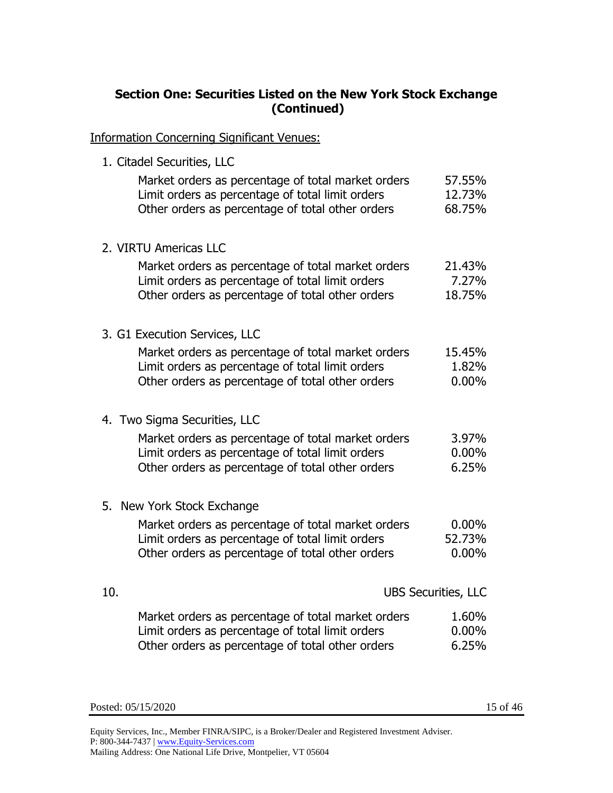# **Section One: Securities Listed on the New York Stock Exchange (Continued)**

Information Concerning Significant Venues:

1. Citadel Securities, LLC

| Market orders as percentage of total market orders<br>Limit orders as percentage of total limit orders<br>Other orders as percentage of total other orders | 57.55%<br>12.73%<br>68.75% |
|------------------------------------------------------------------------------------------------------------------------------------------------------------|----------------------------|
| 2. VIRTU Americas LLC                                                                                                                                      |                            |
| Market orders as percentage of total market orders                                                                                                         | 21.43%                     |
| Limit orders as percentage of total limit orders                                                                                                           | 7.27%                      |
| Other orders as percentage of total other orders                                                                                                           | 18.75%                     |
| 3. G1 Execution Services, LLC                                                                                                                              |                            |
| Market orders as percentage of total market orders                                                                                                         | 15.45%                     |
| Limit orders as percentage of total limit orders                                                                                                           | 1.82%                      |
| Other orders as percentage of total other orders                                                                                                           | $0.00\%$                   |
| 4. Two Sigma Securities, LLC                                                                                                                               |                            |
| Market orders as percentage of total market orders                                                                                                         | 3.97%                      |
| Limit orders as percentage of total limit orders                                                                                                           | $0.00\%$                   |
| Other orders as percentage of total other orders                                                                                                           | 6.25%                      |
| 5. New York Stock Exchange                                                                                                                                 |                            |
| Market orders as percentage of total market orders                                                                                                         | $0.00\%$                   |
| Limit orders as percentage of total limit orders                                                                                                           | 52.73%                     |
| Other orders as percentage of total other orders                                                                                                           | $0.00\%$                   |
| 10.                                                                                                                                                        | <b>UBS Securities, LLC</b> |
|                                                                                                                                                            |                            |
| Market orders as percentage of total market orders                                                                                                         | 1.60%                      |
| Limit orders as percentage of total limit orders                                                                                                           | $0.00\%$                   |
| Other orders as percentage of total other orders                                                                                                           | 6.25%                      |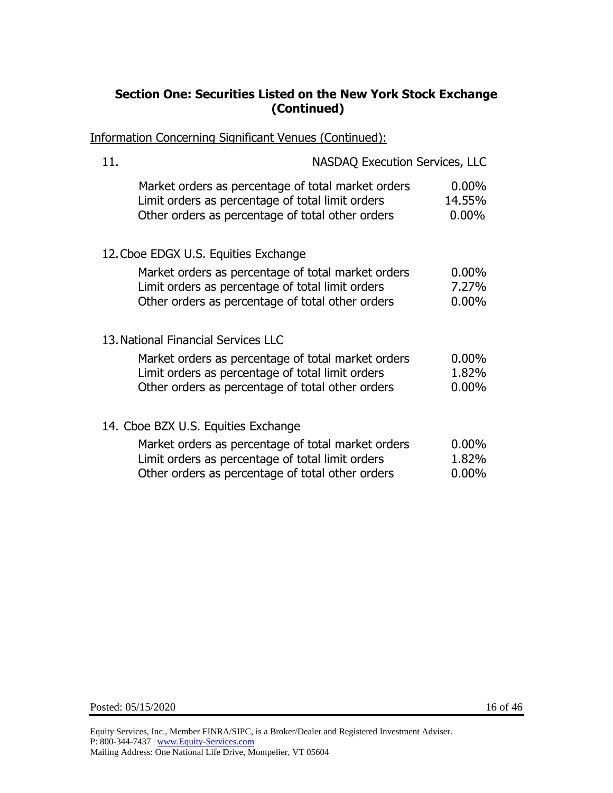## **Section One: Securities Listed on the New York Stock Exchange (Continued)**

Information Concerning Significant Venues (Continued):

| 11. | <b>NASDAQ Execution Services, LLC</b>                                                                                                                      |                                |
|-----|------------------------------------------------------------------------------------------------------------------------------------------------------------|--------------------------------|
|     | Market orders as percentage of total market orders<br>Limit orders as percentage of total limit orders<br>Other orders as percentage of total other orders | $0.00\%$<br>14.55%<br>$0.00\%$ |
|     | 12. Cboe EDGX U.S. Equities Exchange                                                                                                                       |                                |
|     | Market orders as percentage of total market orders<br>Limit orders as percentage of total limit orders<br>Other orders as percentage of total other orders | $0.00\%$<br>7.27%<br>$0.00\%$  |
|     | 13. National Financial Services LLC                                                                                                                        |                                |
|     | Market orders as percentage of total market orders<br>Limit orders as percentage of total limit orders<br>Other orders as percentage of total other orders | $0.00\%$<br>1.82%<br>$0.00\%$  |
|     | 14. Cboe BZX U.S. Equities Exchange                                                                                                                        |                                |
|     | Market orders as percentage of total market orders<br>Limit orders as percentage of total limit orders<br>Other orders as percentage of total other orders | $0.00\%$<br>1.82%<br>$0.00\%$  |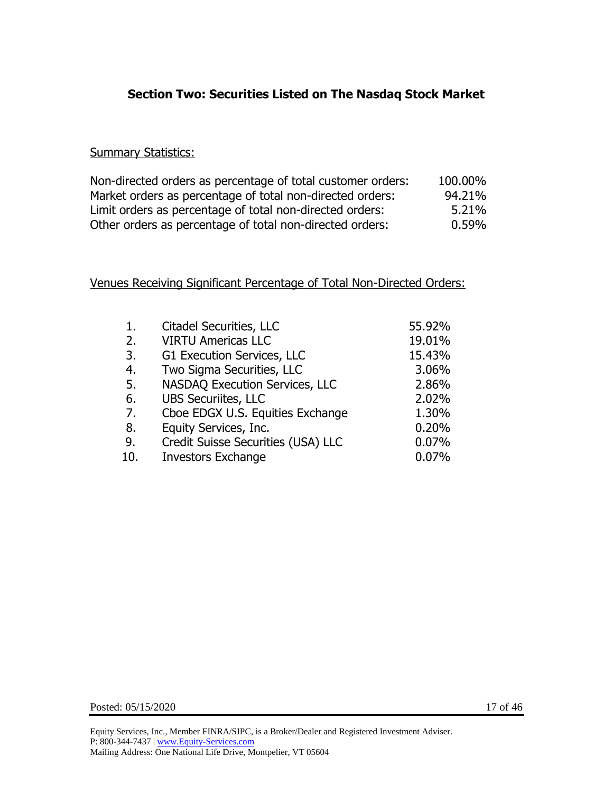# **Section Two: Securities Listed on The Nasdaq Stock Market**

#### **Summary Statistics:**

| Non-directed orders as percentage of total customer orders: | 100.00%  |
|-------------------------------------------------------------|----------|
| Market orders as percentage of total non-directed orders:   | 94.21%   |
| Limit orders as percentage of total non-directed orders:    | 5.21%    |
| Other orders as percentage of total non-directed orders:    | $0.59\%$ |

| 1.  | Citadel Securities, LLC               | 55.92% |
|-----|---------------------------------------|--------|
| 2.  | <b>VIRTU Americas LLC</b>             | 19.01% |
| 3.  | G1 Execution Services, LLC            | 15.43% |
| 4.  | Two Sigma Securities, LLC             | 3.06%  |
| 5.  | <b>NASDAQ Execution Services, LLC</b> | 2.86%  |
| 6.  | <b>UBS Securiites, LLC</b>            | 2.02%  |
| 7.  | Cboe EDGX U.S. Equities Exchange      | 1.30%  |
| 8.  | Equity Services, Inc.                 | 0.20%  |
| 9.  | Credit Suisse Securities (USA) LLC    | 0.07%  |
| 10. | <b>Investors Exchange</b>             | 0.07%  |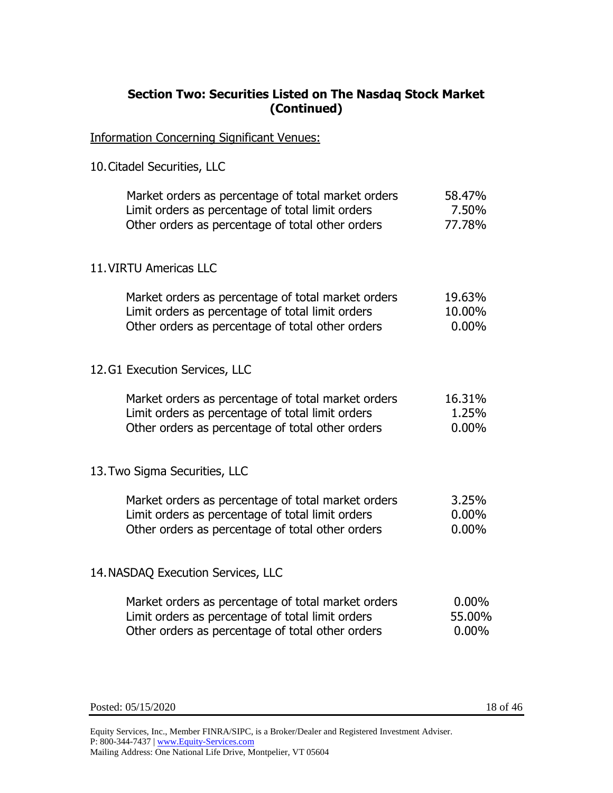### **Section Two: Securities Listed on The Nasdaq Stock Market (Continued)**

Information Concerning Significant Venues:

10.Citadel Securities, LLC

| Market orders as percentage of total market orders | 58.47%   |
|----------------------------------------------------|----------|
| Limit orders as percentage of total limit orders   | 7.50%    |
| Other orders as percentage of total other orders   | 77.78%   |
| 11. VIRTU Americas LLC                             |          |
| Market orders as percentage of total market orders | 19.63%   |
| Limit orders as percentage of total limit orders   | 10.00%   |
| Other orders as percentage of total other orders   | $0.00\%$ |
| 12.G1 Execution Services, LLC                      |          |
| Market orders as percentage of total market orders | 16.31%   |
| Limit orders as percentage of total limit orders   | 1.25%    |
| Other orders as percentage of total other orders   | $0.00\%$ |
| 13. Two Sigma Securities, LLC                      |          |
| Market orders as percentage of total market orders | 3.25%    |
| Limit orders as percentage of total limit orders   | $0.00\%$ |
| Other orders as percentage of total other orders   | $0.00\%$ |
| 14. NASDAQ Execution Services, LLC                 |          |

| Market orders as percentage of total market orders | $0.00\%$ |
|----------------------------------------------------|----------|
| Limit orders as percentage of total limit orders   | 55.00%   |
| Other orders as percentage of total other orders   | $0.00\%$ |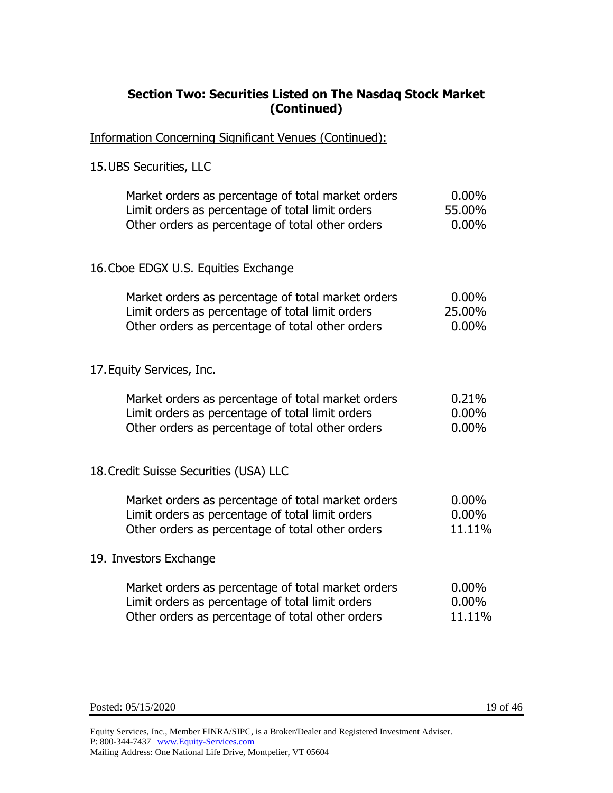### **Section Two: Securities Listed on The Nasdaq Stock Market (Continued)**

Information Concerning Significant Venues (Continued):

15.UBS Securities, LLC

| Market orders as percentage of total market orders | $0.00\%$ |
|----------------------------------------------------|----------|
| Limit orders as percentage of total limit orders   | 55.00%   |
| Other orders as percentage of total other orders   | 0.00%    |
| 16. Cboe EDGX U.S. Equities Exchange               |          |
| Market orders as percentage of total market orders | $0.00\%$ |
| Limit orders as percentage of total limit orders   | 25.00%   |
| Other orders as percentage of total other orders   | $0.00\%$ |
| 17. Equity Services, Inc.                          |          |
| Market orders as percentage of total market orders | 0.21%    |
| Limit orders as percentage of total limit orders   | $0.00\%$ |
| Other orders as percentage of total other orders   | $0.00\%$ |
| 18. Credit Suisse Securities (USA) LLC             |          |
| Market orders as percentage of total market orders | $0.00\%$ |
| Limit orders as percentage of total limit orders   | $0.00\%$ |
| Other orders as percentage of total other orders   | 11.11%   |
| 19. Investors Exchange                             |          |
| Market orders as percentage of total market orders | $0.00\%$ |
| Limit orders as percentage of total limit orders   | $0.00\%$ |
| Other orders as percentage of total other orders   | 11.11%   |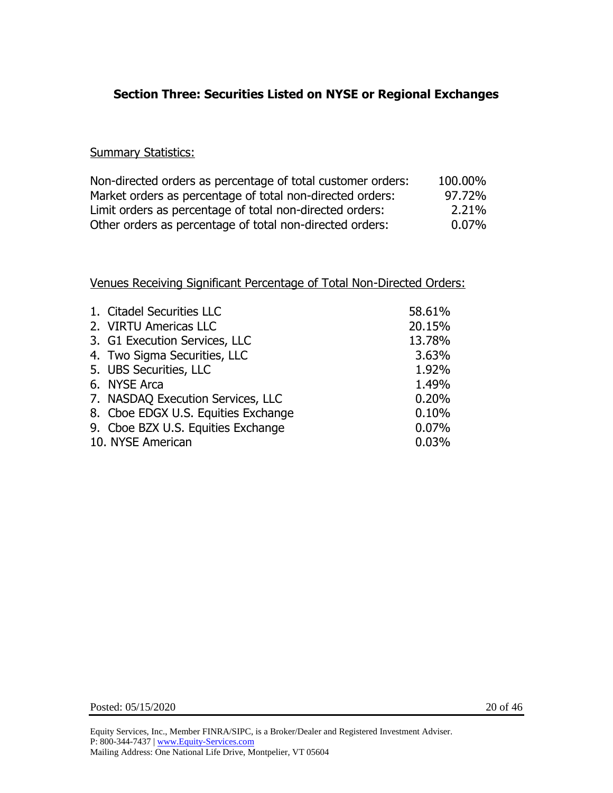## **Section Three: Securities Listed on NYSE or Regional Exchanges**

#### **Summary Statistics:**

| Non-directed orders as percentage of total customer orders: | 100.00% |
|-------------------------------------------------------------|---------|
| Market orders as percentage of total non-directed orders:   | 97.72%  |
| Limit orders as percentage of total non-directed orders:    | 2.21%   |
| Other orders as percentage of total non-directed orders:    | 0.07%   |

| 1. Citadel Securities LLC           | 58.61% |
|-------------------------------------|--------|
| 2. VIRTU Americas LLC               | 20.15% |
| 3. G1 Execution Services, LLC       | 13.78% |
| 4. Two Sigma Securities, LLC        | 3.63%  |
| 5. UBS Securities, LLC              | 1.92%  |
| 6. NYSE Arca                        | 1.49%  |
| 7. NASDAQ Execution Services, LLC   | 0.20%  |
| 8. Cboe EDGX U.S. Equities Exchange | 0.10%  |
| 9. Cboe BZX U.S. Equities Exchange  | 0.07%  |
| 10. NYSE American                   | 0.03%  |
|                                     |        |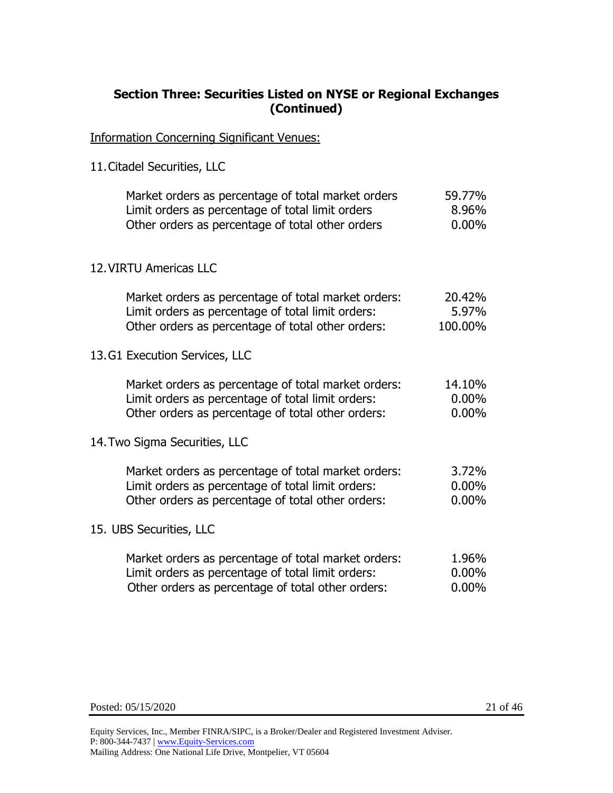### **Section Three: Securities Listed on NYSE or Regional Exchanges (Continued)**

Information Concerning Significant Venues:

11.Citadel Securities, LLC

| Market orders as percentage of total market orders<br>Limit orders as percentage of total limit orders<br>Other orders as percentage of total other orders    | 59.77%<br>8.96%<br>$0.00\%$    |
|---------------------------------------------------------------------------------------------------------------------------------------------------------------|--------------------------------|
| 12. VIRTU Americas LLC                                                                                                                                        |                                |
| Market orders as percentage of total market orders:<br>Limit orders as percentage of total limit orders:<br>Other orders as percentage of total other orders: | 20.42%<br>5.97%<br>100.00%     |
| 13.G1 Execution Services, LLC                                                                                                                                 |                                |
| Market orders as percentage of total market orders:<br>Limit orders as percentage of total limit orders:<br>Other orders as percentage of total other orders: | 14.10%<br>$0.00\%$<br>$0.00\%$ |
| 14. Two Sigma Securities, LLC                                                                                                                                 |                                |
| Market orders as percentage of total market orders:<br>Limit orders as percentage of total limit orders:<br>Other orders as percentage of total other orders: | 3.72%<br>$0.00\%$<br>$0.00\%$  |
| 15. UBS Securities, LLC                                                                                                                                       |                                |
| Market orders as percentage of total market orders:<br>Limit orders as percentage of total limit orders:<br>Other orders as percentage of total other orders: | 1.96%<br>$0.00\%$<br>$0.00\%$  |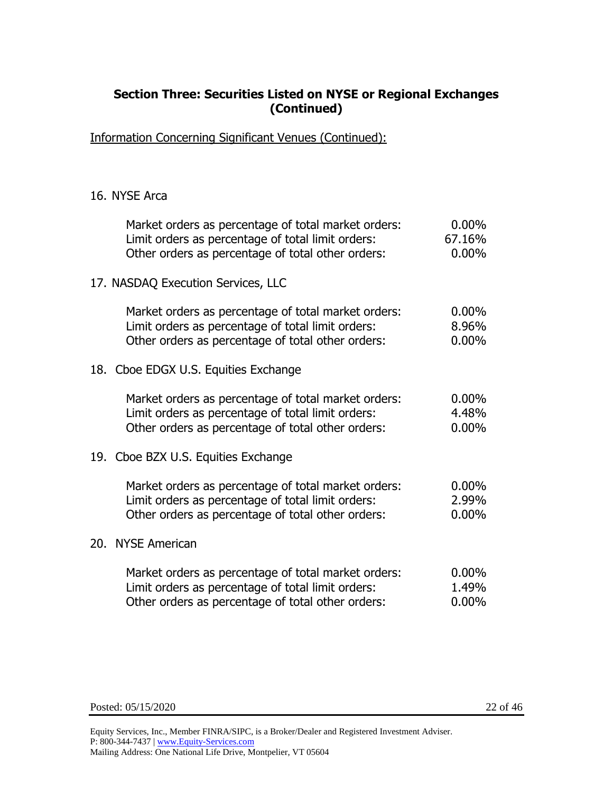### **Section Three: Securities Listed on NYSE or Regional Exchanges (Continued)**

Information Concerning Significant Venues (Continued):

#### 16. NYSE Arca

| Market orders as percentage of total market orders:<br>Limit orders as percentage of total limit orders:<br>Other orders as percentage of total other orders: | $0.00\%$<br>67.16%<br>$0.00\%$ |
|---------------------------------------------------------------------------------------------------------------------------------------------------------------|--------------------------------|
| 17. NASDAQ Execution Services, LLC                                                                                                                            |                                |
| Market orders as percentage of total market orders:<br>Limit orders as percentage of total limit orders:<br>Other orders as percentage of total other orders: | $0.00\%$<br>8.96%<br>$0.00\%$  |
| 18. Cboe EDGX U.S. Equities Exchange                                                                                                                          |                                |
| Market orders as percentage of total market orders:<br>Limit orders as percentage of total limit orders:<br>Other orders as percentage of total other orders: | $0.00\%$<br>4.48%<br>$0.00\%$  |
| 19. Cboe BZX U.S. Equities Exchange                                                                                                                           |                                |
| Market orders as percentage of total market orders:<br>Limit orders as percentage of total limit orders:<br>Other orders as percentage of total other orders: | $0.00\%$<br>2.99%<br>$0.00\%$  |
| 20. NYSE American                                                                                                                                             |                                |
| Market orders as percentage of total market orders:<br>Limit orders as percentage of total limit orders:<br>Other orders as percentage of total other orders: | $0.00\%$<br>1.49%<br>$0.00\%$  |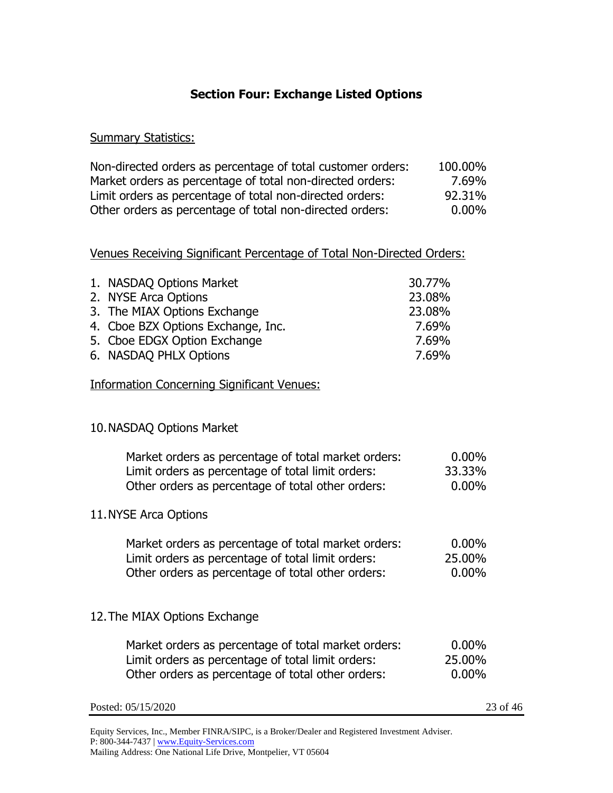# **Section Four: Exchange Listed Options**

#### **Summary Statistics:**

| Non-directed orders as percentage of total customer orders: | 100.00%  |
|-------------------------------------------------------------|----------|
| Market orders as percentage of total non-directed orders:   | 7.69%    |
| Limit orders as percentage of total non-directed orders:    | 92.31%   |
| Other orders as percentage of total non-directed orders:    | $0.00\%$ |

#### Venues Receiving Significant Percentage of Total Non-Directed Orders:

| 1. NASDAQ Options Market           | 30.77% |
|------------------------------------|--------|
| 2. NYSE Arca Options               | 23.08% |
| 3. The MIAX Options Exchange       | 23.08% |
| 4. Cboe BZX Options Exchange, Inc. | 7.69%  |
| 5. Cboe EDGX Option Exchange       | 7.69%  |
| 6. NASDAQ PHLX Options             | 7.69%  |

#### Information Concerning Significant Venues:

#### 10.NASDAQ Options Market

| Market orders as percentage of total market orders: | $0.00\%$ |
|-----------------------------------------------------|----------|
| Limit orders as percentage of total limit orders:   | 33.33%   |
| Other orders as percentage of total other orders:   | $0.00\%$ |
| 11. NYSE Arca Options                               |          |
| Market orders as percentage of total market orders: | $0.00\%$ |
| Limit orders as percentage of total limit orders:   | 25.00%   |
| Other orders as percentage of total other orders:   | $0.00\%$ |
| 12. The MIAX Options Exchange                       |          |
| Market orders as percentage of total market orders: | $0.00\%$ |
| Limit orders as percentage of total limit orders:   | 25,00%   |
| Other orders as percentage of total other orders:   | $0.00\%$ |

| Posted: 05/15/2020 | 23 of 46 |
|--------------------|----------|
|--------------------|----------|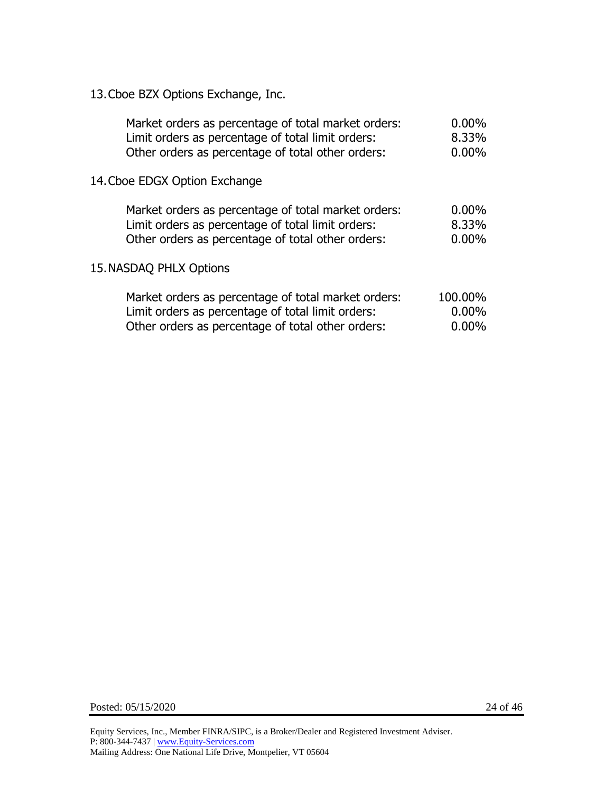13.Cboe BZX Options Exchange, Inc.

| Market orders as percentage of total market orders:<br>Limit orders as percentage of total limit orders:<br>Other orders as percentage of total other orders: | $0.00\%$<br>8.33%<br>0.00% |  |
|---------------------------------------------------------------------------------------------------------------------------------------------------------------|----------------------------|--|
| 14. Cboe EDGX Option Exchange                                                                                                                                 |                            |  |
| Market orders as percentage of total market orders:                                                                                                           | $0.00\%$                   |  |
| Limit orders as percentage of total limit orders:<br>Other orders as percentage of total other orders:                                                        | 8.33%<br>$0.00\%$          |  |
| 15. NASDAQ PHLX Options                                                                                                                                       |                            |  |
| Market orders as percentage of total market orders:                                                                                                           | 100.00%<br>$0.00\%$        |  |
| Limit orders as percentage of total limit orders:<br>Other orders as percentage of total other orders:                                                        | $0.00\%$                   |  |
|                                                                                                                                                               |                            |  |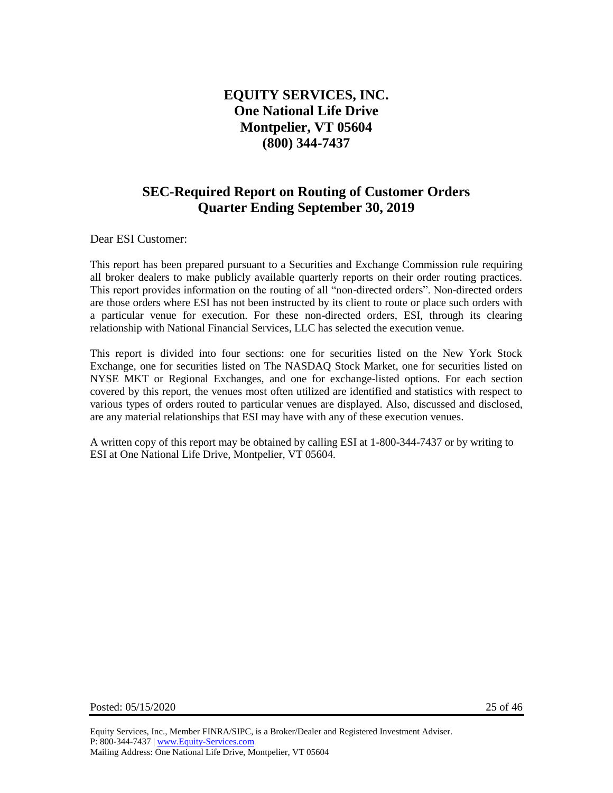# **EQUITY SERVICES, INC. One National Life Drive Montpelier, VT 05604 (800) 344-7437**

# **SEC-Required Report on Routing of Customer Orders Quarter Ending September 30, 2019**

Dear ESI Customer:

This report has been prepared pursuant to a Securities and Exchange Commission rule requiring all broker dealers to make publicly available quarterly reports on their order routing practices. This report provides information on the routing of all "non-directed orders". Non-directed orders are those orders where ESI has not been instructed by its client to route or place such orders with a particular venue for execution. For these non-directed orders, ESI, through its clearing relationship with National Financial Services, LLC has selected the execution venue.

This report is divided into four sections: one for securities listed on the New York Stock Exchange, one for securities listed on The NASDAQ Stock Market, one for securities listed on NYSE MKT or Regional Exchanges, and one for exchange-listed options. For each section covered by this report, the venues most often utilized are identified and statistics with respect to various types of orders routed to particular venues are displayed. Also, discussed and disclosed, are any material relationships that ESI may have with any of these execution venues.

A written copy of this report may be obtained by calling ESI at 1-800-344-7437 or by writing to ESI at One National Life Drive, Montpelier, VT 05604.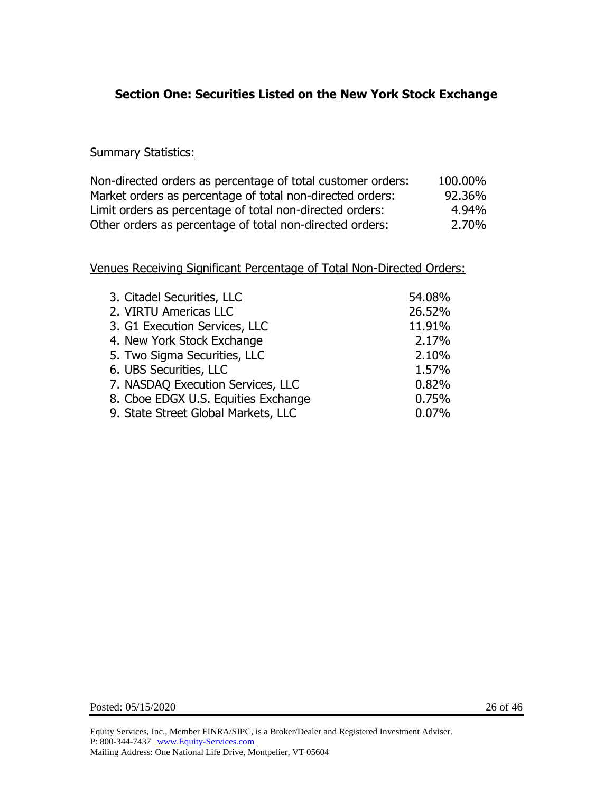# **Section One: Securities Listed on the New York Stock Exchange**

#### **Summary Statistics:**

| Non-directed orders as percentage of total customer orders: | 100.00% |
|-------------------------------------------------------------|---------|
| Market orders as percentage of total non-directed orders:   | 92.36%  |
| Limit orders as percentage of total non-directed orders:    | 4.94%   |
| Other orders as percentage of total non-directed orders:    | 2.70%   |

| 3. Citadel Securities, LLC          | 54.08% |
|-------------------------------------|--------|
| 2. VIRTU Americas LLC               | 26.52% |
| 3. G1 Execution Services, LLC       | 11.91% |
| 4. New York Stock Exchange          | 2.17%  |
| 5. Two Sigma Securities, LLC        | 2.10%  |
| 6. UBS Securities, LLC              | 1.57%  |
| 7. NASDAQ Execution Services, LLC   | 0.82%  |
| 8. Cboe EDGX U.S. Equities Exchange | 0.75%  |
| 9. State Street Global Markets, LLC | 0.07%  |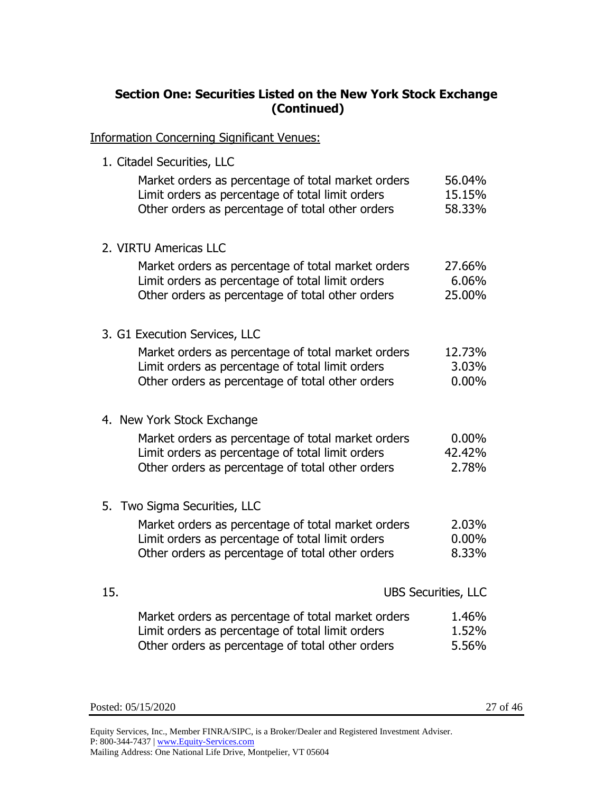# **Section One: Securities Listed on the New York Stock Exchange (Continued)**

Information Concerning Significant Venues:

1. Citadel Securities, LLC

| Market orders as percentage of total market orders<br>Limit orders as percentage of total limit orders<br>Other orders as percentage of total other orders | 56.04%<br>15.15%<br>58.33%  |
|------------------------------------------------------------------------------------------------------------------------------------------------------------|-----------------------------|
| 2. VIRTU Americas LLC                                                                                                                                      |                             |
| Market orders as percentage of total market orders<br>Limit orders as percentage of total limit orders<br>Other orders as percentage of total other orders | 27.66%<br>6.06%<br>25.00%   |
| 3. G1 Execution Services, LLC                                                                                                                              |                             |
| Market orders as percentage of total market orders<br>Limit orders as percentage of total limit orders<br>Other orders as percentage of total other orders | 12.73%<br>3.03%<br>$0.00\%$ |
|                                                                                                                                                            |                             |
| 4. New York Stock Exchange                                                                                                                                 |                             |
| Market orders as percentage of total market orders                                                                                                         | $0.00\%$                    |
| Limit orders as percentage of total limit orders<br>Other orders as percentage of total other orders                                                       | 42.42%<br>2.78%             |
| 5. Two Sigma Securities, LLC                                                                                                                               |                             |
| Market orders as percentage of total market orders                                                                                                         | 2.03%                       |
| Limit orders as percentage of total limit orders                                                                                                           | $0.00\%$                    |
| Other orders as percentage of total other orders                                                                                                           | 8.33%                       |
| 15.                                                                                                                                                        | <b>UBS Securities, LLC</b>  |
| Market orders as percentage of total market orders                                                                                                         | 1.46%                       |
| Limit orders as percentage of total limit orders                                                                                                           | 1.52%                       |
| Other orders as percentage of total other orders                                                                                                           | 5.56%                       |

Posted: 05/15/2020 27 of 46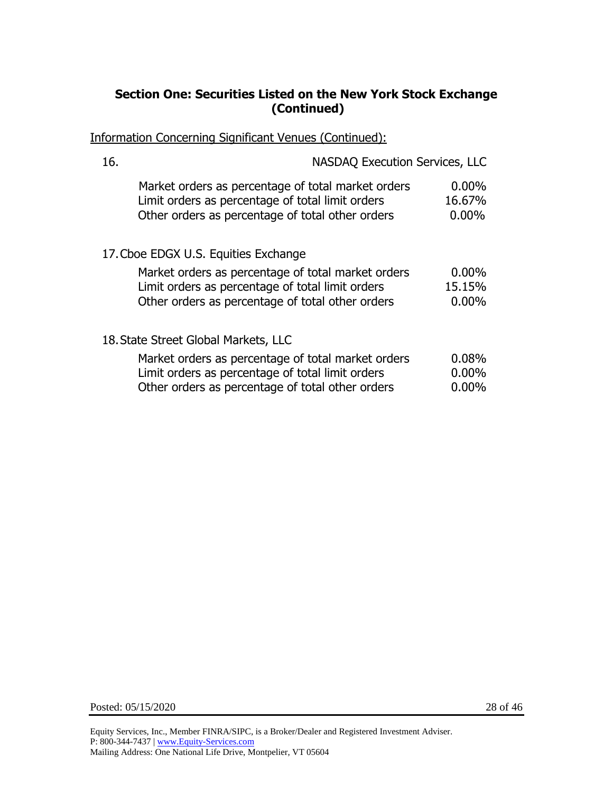# **Section One: Securities Listed on the New York Stock Exchange (Continued)**

Information Concerning Significant Venues (Continued):

| 16.                                  | <b>NASDAQ Execution Services, LLC</b>                                                                                                                      |                                |  |
|--------------------------------------|------------------------------------------------------------------------------------------------------------------------------------------------------------|--------------------------------|--|
|                                      | Market orders as percentage of total market orders<br>Limit orders as percentage of total limit orders<br>Other orders as percentage of total other orders | $0.00\%$<br>16.67%<br>$0.00\%$ |  |
|                                      | 17. Cboe EDGX U.S. Equities Exchange                                                                                                                       |                                |  |
|                                      | Market orders as percentage of total market orders                                                                                                         | $0.00\%$                       |  |
|                                      | Limit orders as percentage of total limit orders                                                                                                           | 15.15%                         |  |
|                                      | Other orders as percentage of total other orders                                                                                                           | $0.00\%$                       |  |
| 18. State Street Global Markets, LLC |                                                                                                                                                            |                                |  |
|                                      | Market orders as percentage of total market orders                                                                                                         | 0.08%                          |  |
|                                      | Limit orders as percentage of total limit orders                                                                                                           | $0.00\%$                       |  |
|                                      | Other orders as percentage of total other orders                                                                                                           | $0.00\%$                       |  |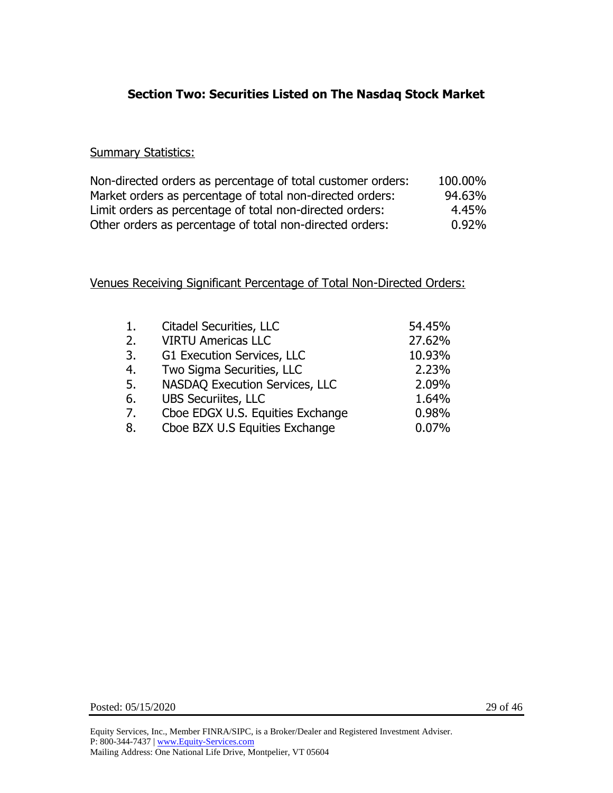# **Section Two: Securities Listed on The Nasdaq Stock Market**

#### **Summary Statistics:**

| Non-directed orders as percentage of total customer orders: | 100.00% |
|-------------------------------------------------------------|---------|
| Market orders as percentage of total non-directed orders:   | 94.63%  |
| Limit orders as percentage of total non-directed orders:    | 4.45%   |
| Other orders as percentage of total non-directed orders:    | 0.92%   |

| 1. | <b>Citadel Securities, LLC</b>   | 54.45% |
|----|----------------------------------|--------|
| 2. | <b>VIRTU Americas LLC</b>        | 27.62% |
| 3. | G1 Execution Services, LLC       | 10.93% |
| 4. | Two Sigma Securities, LLC        | 2.23%  |
| 5. | NASDAQ Execution Services, LLC   | 2.09%  |
| 6. | <b>UBS Securiites, LLC</b>       | 1.64%  |
| 7. | Cboe EDGX U.S. Equities Exchange | 0.98%  |
| 8. | Cboe BZX U.S Equities Exchange   | 0.07%  |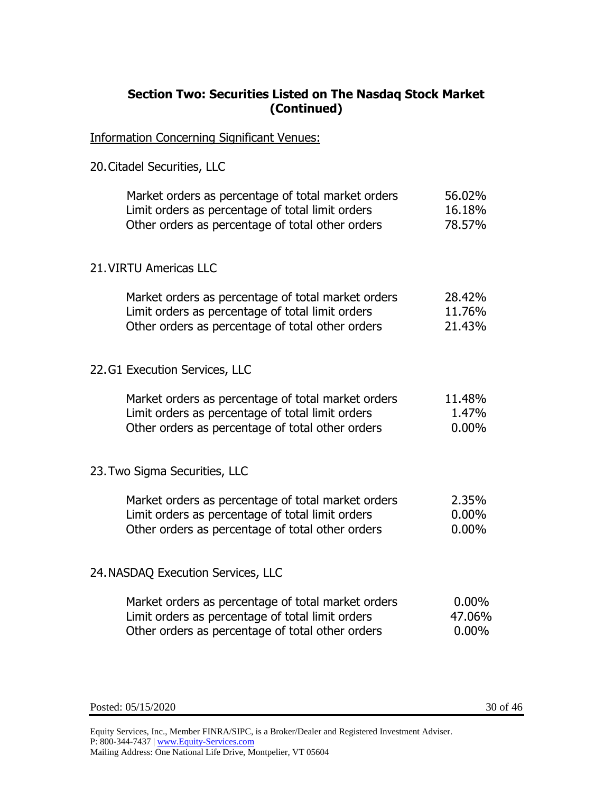### **Section Two: Securities Listed on The Nasdaq Stock Market (Continued)**

Information Concerning Significant Venues:

20.Citadel Securities, LLC

| Market orders as percentage of total market orders | 56.02% |
|----------------------------------------------------|--------|
| Limit orders as percentage of total limit orders   | 16.18% |
| Other orders as percentage of total other orders   | 78.57% |
| 21. VIRTU Americas LLC                             |        |
| Market orders as percentage of total market orders | 28.42% |
| Limit orders as percentage of total limit orders   | 11.76% |

22.G1 Execution Services, LLC

| Market orders as percentage of total market orders | 11.48% |
|----------------------------------------------------|--------|
| Limit orders as percentage of total limit orders   | 1.47%  |
| Other orders as percentage of total other orders   | 0.00%  |

Other orders as percentage of total other orders 21.43%

#### 23.Two Sigma Securities, LLC

| Market orders as percentage of total market orders | 2.35%    |
|----------------------------------------------------|----------|
| Limit orders as percentage of total limit orders   | $0.00\%$ |
| Other orders as percentage of total other orders   | $0.00\%$ |

#### 24.NASDAQ Execution Services, LLC

| Market orders as percentage of total market orders | $0.00\%$ |
|----------------------------------------------------|----------|
| Limit orders as percentage of total limit orders   | 47.06%   |
| Other orders as percentage of total other orders   | $0.00\%$ |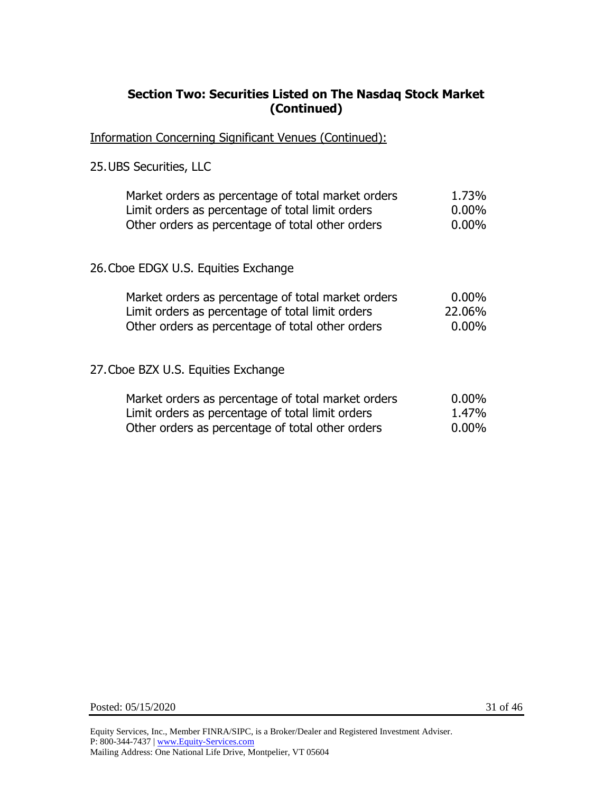### **Section Two: Securities Listed on The Nasdaq Stock Market (Continued)**

Information Concerning Significant Venues (Continued):

#### 25.UBS Securities, LLC

| Market orders as percentage of total market orders | 1.73%    |
|----------------------------------------------------|----------|
| Limit orders as percentage of total limit orders   | $0.00\%$ |
| Other orders as percentage of total other orders   | $0.00\%$ |

#### 26.Cboe EDGX U.S. Equities Exchange

| Market orders as percentage of total market orders | $0.00\%$ |
|----------------------------------------------------|----------|
| Limit orders as percentage of total limit orders   | 22.06%   |
| Other orders as percentage of total other orders   | $0.00\%$ |

#### 27.Cboe BZX U.S. Equities Exchange

| Market orders as percentage of total market orders | $0.00\%$ |
|----------------------------------------------------|----------|
| Limit orders as percentage of total limit orders   | 1.47%    |
| Other orders as percentage of total other orders   | $0.00\%$ |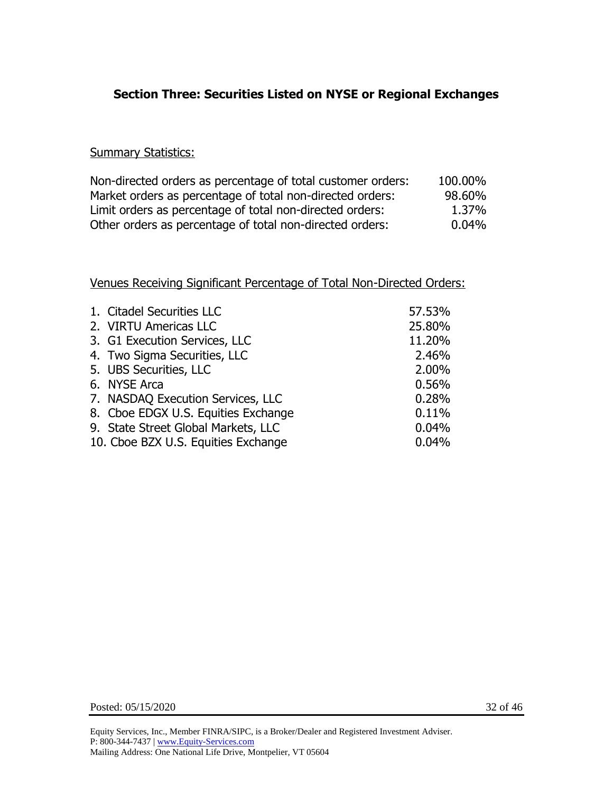# **Section Three: Securities Listed on NYSE or Regional Exchanges**

#### **Summary Statistics:**

| Non-directed orders as percentage of total customer orders: | 100.00% |
|-------------------------------------------------------------|---------|
| Market orders as percentage of total non-directed orders:   | 98.60%  |
| Limit orders as percentage of total non-directed orders:    | 1.37%   |
| Other orders as percentage of total non-directed orders:    | 0.04%   |

| 1. Citadel Securities LLC           | 57.53% |
|-------------------------------------|--------|
| 2. VIRTU Americas LLC               | 25.80% |
| 3. G1 Execution Services, LLC       | 11.20% |
| 4. Two Sigma Securities, LLC        | 2.46%  |
| 5. UBS Securities, LLC              | 2.00%  |
| 6. NYSE Arca                        | 0.56%  |
| 7. NASDAQ Execution Services, LLC   | 0.28%  |
| 8. Cboe EDGX U.S. Equities Exchange | 0.11%  |
| 9. State Street Global Markets, LLC | 0.04%  |
| 10. Cboe BZX U.S. Equities Exchange | 0.04%  |
|                                     |        |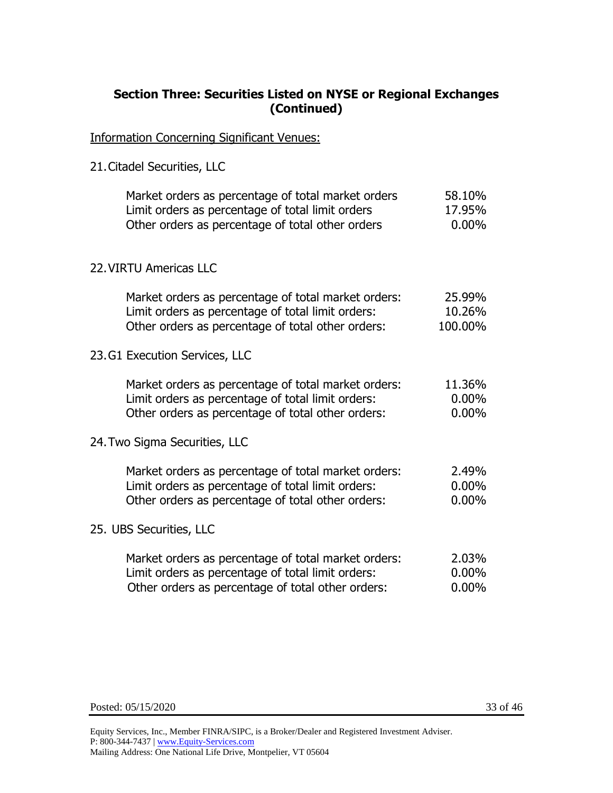### **Section Three: Securities Listed on NYSE or Regional Exchanges (Continued)**

Information Concerning Significant Venues:

21.Citadel Securities, LLC

| Market orders as percentage of total market orders<br>Limit orders as percentage of total limit orders<br>Other orders as percentage of total other orders    | 58.10%<br>17.95%<br>$0.00\%$   |
|---------------------------------------------------------------------------------------------------------------------------------------------------------------|--------------------------------|
| 22. VIRTU Americas LLC                                                                                                                                        |                                |
| Market orders as percentage of total market orders:<br>Limit orders as percentage of total limit orders:<br>Other orders as percentage of total other orders: | 25.99%<br>10.26%<br>100.00%    |
| 23. G1 Execution Services, LLC                                                                                                                                |                                |
| Market orders as percentage of total market orders:<br>Limit orders as percentage of total limit orders:<br>Other orders as percentage of total other orders: | 11.36%<br>$0.00\%$<br>$0.00\%$ |
| 24. Two Sigma Securities, LLC                                                                                                                                 |                                |
| Market orders as percentage of total market orders:<br>Limit orders as percentage of total limit orders:<br>Other orders as percentage of total other orders: | 2.49%<br>$0.00\%$<br>$0.00\%$  |
| 25. UBS Securities, LLC                                                                                                                                       |                                |
| Market orders as percentage of total market orders:<br>Limit orders as percentage of total limit orders:<br>Other orders as percentage of total other orders: | 2.03%<br>$0.00\%$<br>0.00%     |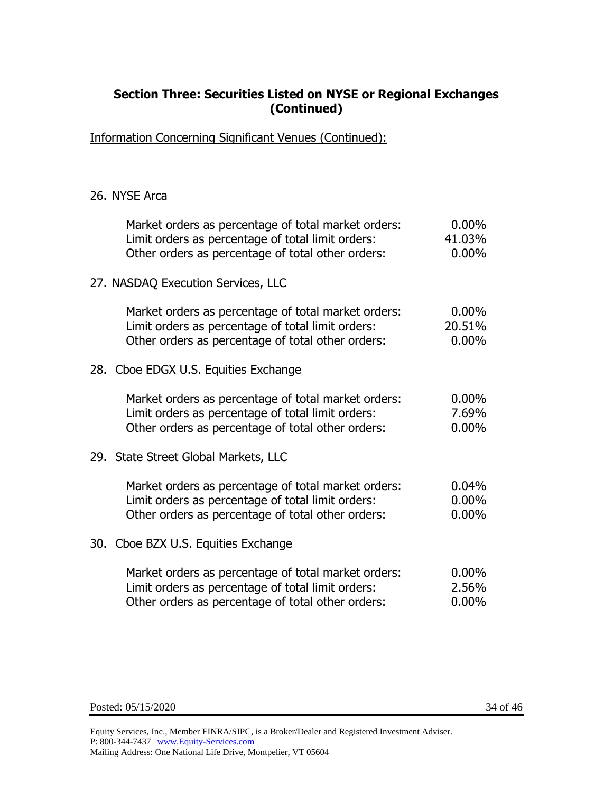### **Section Three: Securities Listed on NYSE or Regional Exchanges (Continued)**

Information Concerning Significant Venues (Continued):

#### 26. NYSE Arca

| Market orders as percentage of total market orders:<br>Limit orders as percentage of total limit orders:<br>Other orders as percentage of total other orders: | $0.00\%$<br>41.03%<br>$0.00\%$ |
|---------------------------------------------------------------------------------------------------------------------------------------------------------------|--------------------------------|
| 27. NASDAQ Execution Services, LLC                                                                                                                            |                                |
| Market orders as percentage of total market orders:<br>Limit orders as percentage of total limit orders:<br>Other orders as percentage of total other orders: | $0.00\%$<br>20.51%<br>$0.00\%$ |
| 28. Cboe EDGX U.S. Equities Exchange                                                                                                                          |                                |
| Market orders as percentage of total market orders:<br>Limit orders as percentage of total limit orders:<br>Other orders as percentage of total other orders: | $0.00\%$<br>7.69%<br>$0.00\%$  |
| 29. State Street Global Markets, LLC                                                                                                                          |                                |
| Market orders as percentage of total market orders:<br>Limit orders as percentage of total limit orders:<br>Other orders as percentage of total other orders: | 0.04%<br>$0.00\%$<br>$0.00\%$  |
| 30. Cboe BZX U.S. Equities Exchange                                                                                                                           |                                |
| Market orders as percentage of total market orders:<br>Limit orders as percentage of total limit orders:<br>Other orders as percentage of total other orders: | $0.00\%$<br>2.56%<br>$0.00\%$  |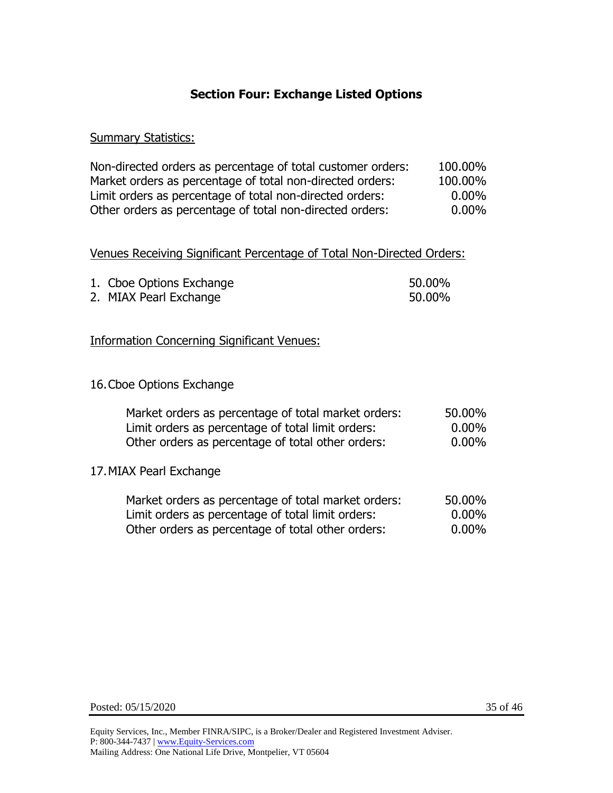# **Section Four: Exchange Listed Options**

#### **Summary Statistics:**

| Non-directed orders as percentage of total customer orders: | 100.00%  |
|-------------------------------------------------------------|----------|
| Market orders as percentage of total non-directed orders:   | 100.00%  |
| Limit orders as percentage of total non-directed orders:    | $0.00\%$ |
| Other orders as percentage of total non-directed orders:    | $0.00\%$ |

#### Venues Receiving Significant Percentage of Total Non-Directed Orders:

| 1. Cboe Options Exchange | 50.00% |
|--------------------------|--------|
| 2. MIAX Pearl Exchange   | 50.00% |

#### Information Concerning Significant Venues:

#### 16.Cboe Options Exchange

| Market orders as percentage of total market orders: | 50.00%   |
|-----------------------------------------------------|----------|
| Limit orders as percentage of total limit orders:   | $0.00\%$ |
| Other orders as percentage of total other orders:   | $0.00\%$ |
| 17. MIAX Pearl Exchange                             |          |
| Market orders as percentage of total market orders: | 50.00%   |
| Limit orders as percentage of total limit orders:   | $0.00\%$ |

Other orders as percentage of total other orders: 0.00%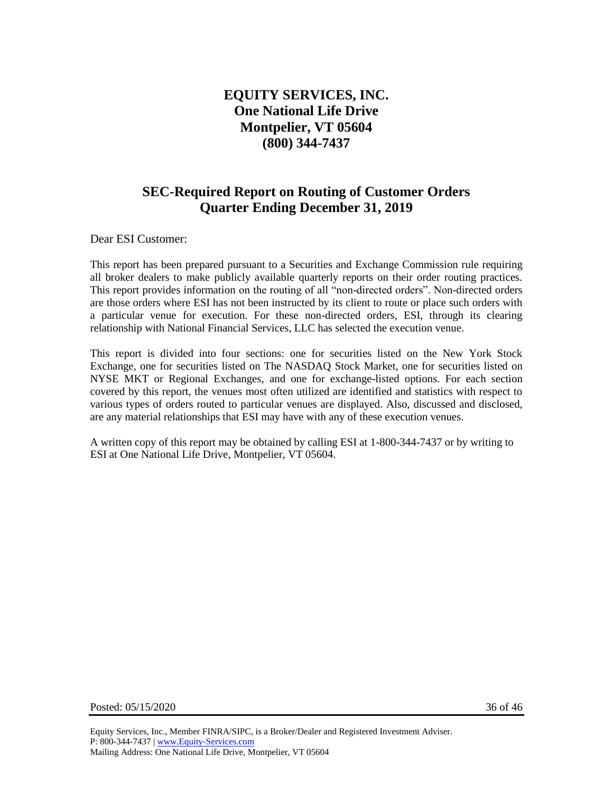# **EQUITY SERVICES, INC. One National Life Drive Montpelier, VT 05604 (800) 344-7437**

# **SEC-Required Report on Routing of Customer Orders Quarter Ending December 31, 2019**

Dear ESI Customer:

This report has been prepared pursuant to a Securities and Exchange Commission rule requiring all broker dealers to make publicly available quarterly reports on their order routing practices. This report provides information on the routing of all "non-directed orders". Non-directed orders are those orders where ESI has not been instructed by its client to route or place such orders with a particular venue for execution. For these non-directed orders, ESI, through its clearing relationship with National Financial Services, LLC has selected the execution venue.

This report is divided into four sections: one for securities listed on the New York Stock Exchange, one for securities listed on The NASDAQ Stock Market, one for securities listed on NYSE MKT or Regional Exchanges, and one for exchange-listed options. For each section covered by this report, the venues most often utilized are identified and statistics with respect to various types of orders routed to particular venues are displayed. Also, discussed and disclosed, are any material relationships that ESI may have with any of these execution venues.

A written copy of this report may be obtained by calling ESI at 1-800-344-7437 or by writing to ESI at One National Life Drive, Montpelier, VT 05604.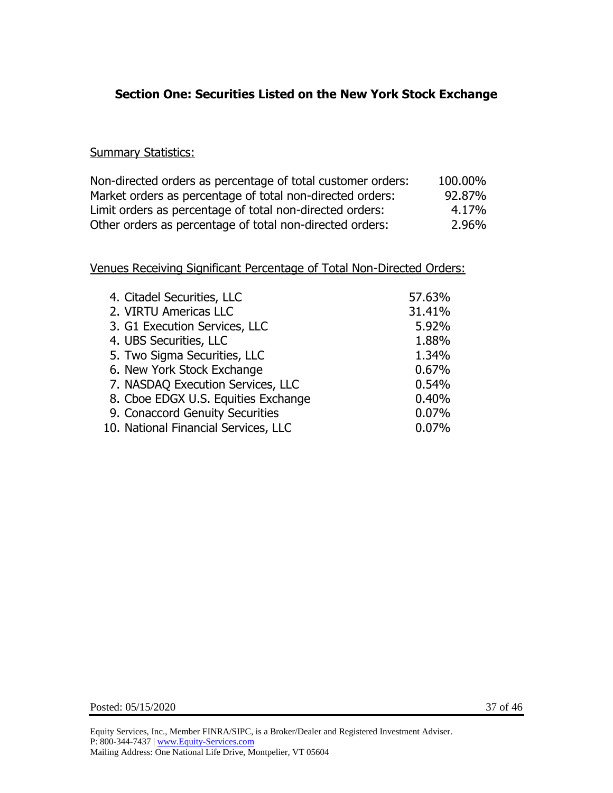# **Section One: Securities Listed on the New York Stock Exchange**

#### **Summary Statistics:**

| Non-directed orders as percentage of total customer orders: | 100.00% |
|-------------------------------------------------------------|---------|
| Market orders as percentage of total non-directed orders:   | 92.87%  |
| Limit orders as percentage of total non-directed orders:    | 4.17%   |
| Other orders as percentage of total non-directed orders:    | 2.96%   |

| 4. Citadel Securities, LLC           | 57.63% |
|--------------------------------------|--------|
| 2. VIRTU Americas LLC                | 31.41% |
| 3. G1 Execution Services, LLC        | 5.92%  |
| 4. UBS Securities, LLC               | 1.88%  |
| 5. Two Sigma Securities, LLC         | 1.34%  |
| 6. New York Stock Exchange           | 0.67%  |
| 7. NASDAQ Execution Services, LLC    | 0.54%  |
| 8. Cboe EDGX U.S. Equities Exchange  | 0.40%  |
| 9. Conaccord Genuity Securities      | 0.07%  |
| 10. National Financial Services, LLC | 0.07%  |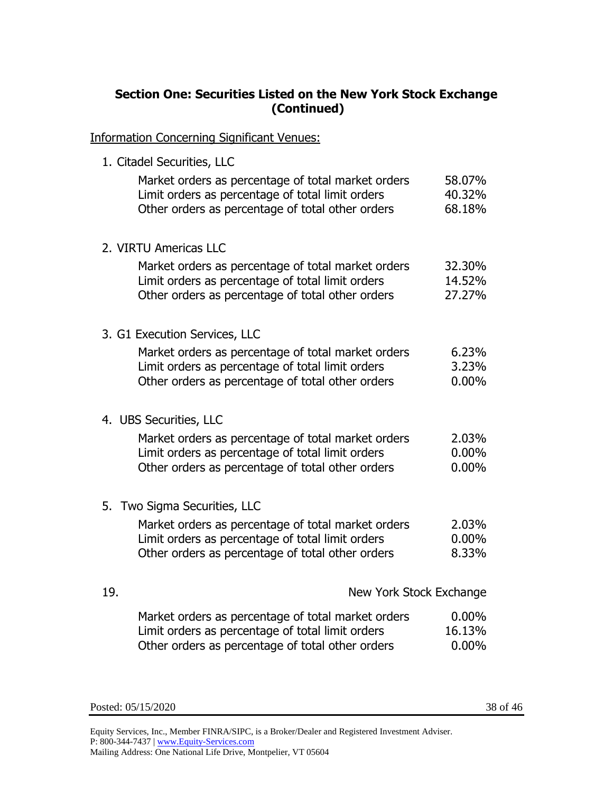# **Section One: Securities Listed on the New York Stock Exchange (Continued)**

Information Concerning Significant Venues:

1. Citadel Securities, LLC

|     | Market orders as percentage of total market orders<br>Limit orders as percentage of total limit orders<br>Other orders as percentage of total other orders | 58.07%<br>40.32%<br>68.18%    |
|-----|------------------------------------------------------------------------------------------------------------------------------------------------------------|-------------------------------|
|     | 2. VIRTU Americas LLC                                                                                                                                      |                               |
|     | Market orders as percentage of total market orders<br>Limit orders as percentage of total limit orders<br>Other orders as percentage of total other orders | 32.30%<br>14.52%<br>27.27%    |
|     | 3. G1 Execution Services, LLC                                                                                                                              |                               |
|     | Market orders as percentage of total market orders<br>Limit orders as percentage of total limit orders<br>Other orders as percentage of total other orders | 6.23%<br>3.23%<br>$0.00\%$    |
|     | 4. UBS Securities, LLC                                                                                                                                     |                               |
|     | Market orders as percentage of total market orders<br>Limit orders as percentage of total limit orders<br>Other orders as percentage of total other orders | 2.03%<br>$0.00\%$<br>$0.00\%$ |
|     | 5. Two Sigma Securities, LLC                                                                                                                               |                               |
|     | Market orders as percentage of total market orders<br>Limit orders as percentage of total limit orders<br>Other orders as percentage of total other orders | 2.03%<br>$0.00\%$<br>8.33%    |
| 19. | New York Stock Exchange                                                                                                                                    |                               |
|     | Market orders as percentage of total market orders<br>Limit orders as percentage of total limit orders<br>Other orders as percentage of total other orders | $0.00\%$<br>16.13%<br>0.00%   |

Posted: 05/15/2020 38 of 46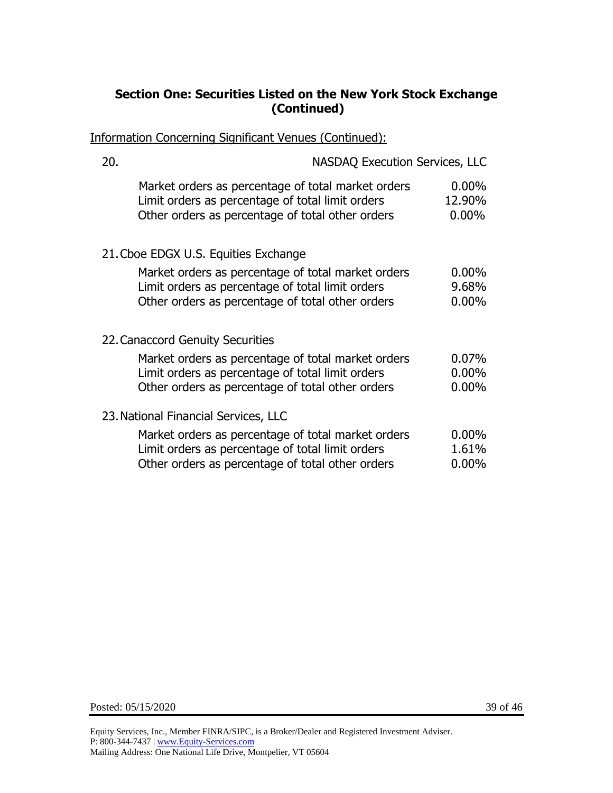# **Section One: Securities Listed on the New York Stock Exchange (Continued)**

Information Concerning Significant Venues (Continued):

| 20. | <b>NASDAQ Execution Services, LLC</b>                                                                                                                      |                                |
|-----|------------------------------------------------------------------------------------------------------------------------------------------------------------|--------------------------------|
|     | Market orders as percentage of total market orders<br>Limit orders as percentage of total limit orders<br>Other orders as percentage of total other orders | $0.00\%$<br>12.90%<br>$0.00\%$ |
|     | 21. Cboe EDGX U.S. Equities Exchange                                                                                                                       |                                |
|     | Market orders as percentage of total market orders<br>Limit orders as percentage of total limit orders<br>Other orders as percentage of total other orders | $0.00\%$<br>9.68%<br>$0.00\%$  |
|     | 22. Canaccord Genuity Securities                                                                                                                           |                                |
|     | Market orders as percentage of total market orders<br>Limit orders as percentage of total limit orders<br>Other orders as percentage of total other orders | 0.07%<br>$0.00\%$<br>$0.00\%$  |
|     | 23. National Financial Services, LLC                                                                                                                       |                                |
|     | Market orders as percentage of total market orders<br>Limit orders as percentage of total limit orders<br>Other orders as percentage of total other orders | $0.00\%$<br>1.61%<br>$0.00\%$  |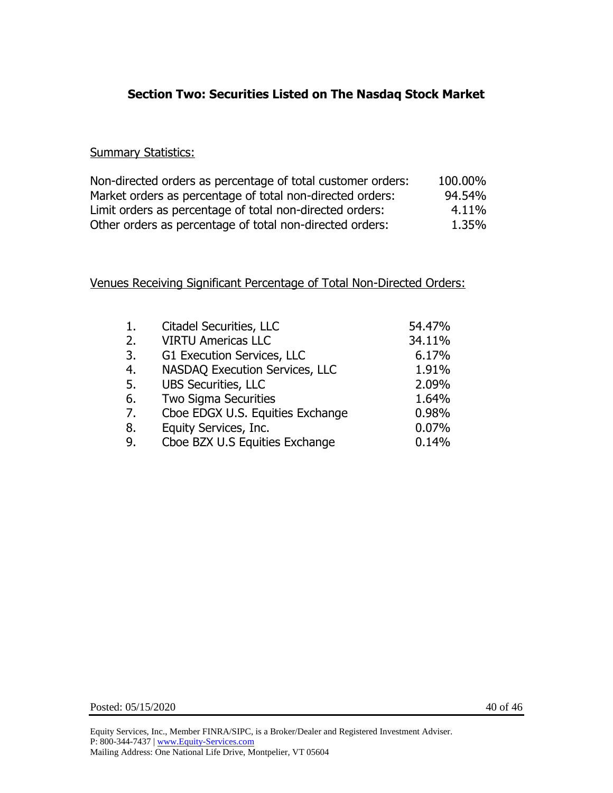# **Section Two: Securities Listed on The Nasdaq Stock Market**

#### **Summary Statistics:**

| Non-directed orders as percentage of total customer orders: | 100.00% |
|-------------------------------------------------------------|---------|
| Market orders as percentage of total non-directed orders:   | 94.54%  |
| Limit orders as percentage of total non-directed orders:    | 4.11%   |
| Other orders as percentage of total non-directed orders:    | 1.35%   |

| 1. | Citadel Securities, LLC          | 54.47% |
|----|----------------------------------|--------|
| 2. | <b>VIRTU Americas LLC</b>        | 34.11% |
| 3. | G1 Execution Services, LLC       | 6.17%  |
| 4. | NASDAQ Execution Services, LLC   | 1.91%  |
| 5. | <b>UBS Securities, LLC</b>       | 2.09%  |
| 6. | <b>Two Sigma Securities</b>      | 1.64%  |
| 7. | Cboe EDGX U.S. Equities Exchange | 0.98%  |
| 8. | Equity Services, Inc.            | 0.07%  |
| 9. | Cboe BZX U.S Equities Exchange   | 0.14%  |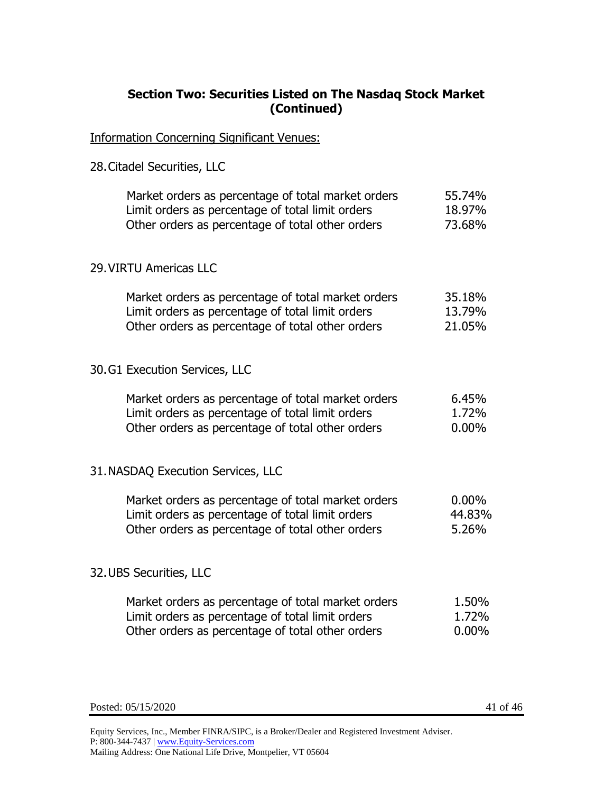# **Section Two: Securities Listed on The Nasdaq Stock Market (Continued)**

Information Concerning Significant Venues:

28.Citadel Securities, LLC

| Market orders as percentage of total market orders | 55.74% |
|----------------------------------------------------|--------|
| Limit orders as percentage of total limit orders   | 18.97% |
| Other orders as percentage of total other orders   | 73.68% |
| 29. VIRTU Americas LLC                             |        |

| Market orders as percentage of total market orders | 35.18% |
|----------------------------------------------------|--------|
| Limit orders as percentage of total limit orders   | 13.79% |
| Other orders as percentage of total other orders   | 21.05% |

30.G1 Execution Services, LLC

| Market orders as percentage of total market orders | 6.45%    |
|----------------------------------------------------|----------|
| Limit orders as percentage of total limit orders   | 1.72%    |
| Other orders as percentage of total other orders   | $0.00\%$ |

#### 31.NASDAQ Execution Services, LLC

| Market orders as percentage of total market orders | $0.00\%$ |
|----------------------------------------------------|----------|
| Limit orders as percentage of total limit orders   | 44.83%   |
| Other orders as percentage of total other orders   | 5.26%    |

#### 32.UBS Securities, LLC

| Market orders as percentage of total market orders | 1.50%    |
|----------------------------------------------------|----------|
| Limit orders as percentage of total limit orders   | 1.72%    |
| Other orders as percentage of total other orders   | $0.00\%$ |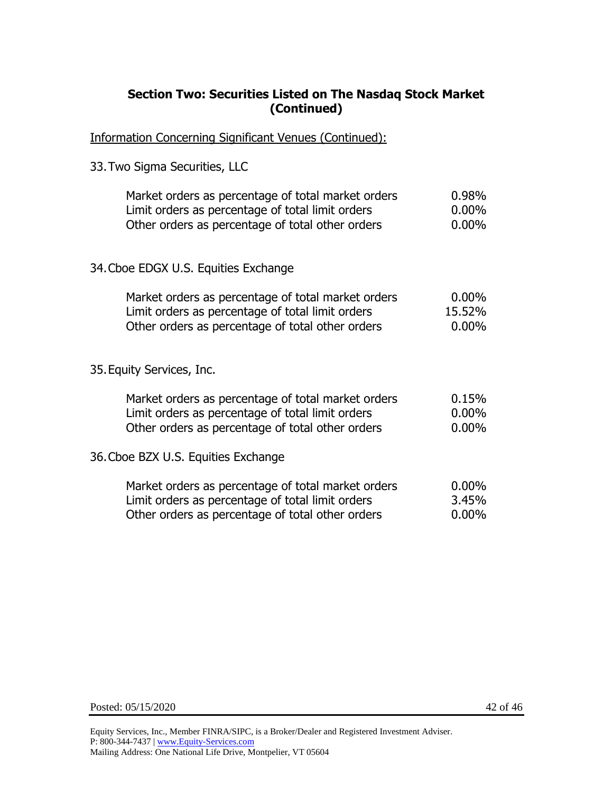# **Section Two: Securities Listed on The Nasdaq Stock Market (Continued)**

Information Concerning Significant Venues (Continued):

33.Two Sigma Securities, LLC

| Market orders as percentage of total market orders | 0.98%    |
|----------------------------------------------------|----------|
| Limit orders as percentage of total limit orders   | $0.00\%$ |
| Other orders as percentage of total other orders   | $0.00\%$ |
| 34. Cboe EDGX U.S. Equities Exchange               |          |
| Market orders as percentage of total market orders | $0.00\%$ |
| Limit orders as percentage of total limit orders   | 15.52%   |
| Other orders as percentage of total other orders   | $0.00\%$ |

#### 35.Equity Services, Inc.

| Market orders as percentage of total market orders | 0.15%    |
|----------------------------------------------------|----------|
| Limit orders as percentage of total limit orders   | $0.00\%$ |
| Other orders as percentage of total other orders   | $0.00\%$ |
| 36. Cboe BZX U.S. Equities Exchange                |          |
| Market orders as percentage of total market orders | $0.00\%$ |
| Limit orders as percentage of total limit orders   | 3.45%    |
| Other orders as percentage of total other orders   | $0.00\%$ |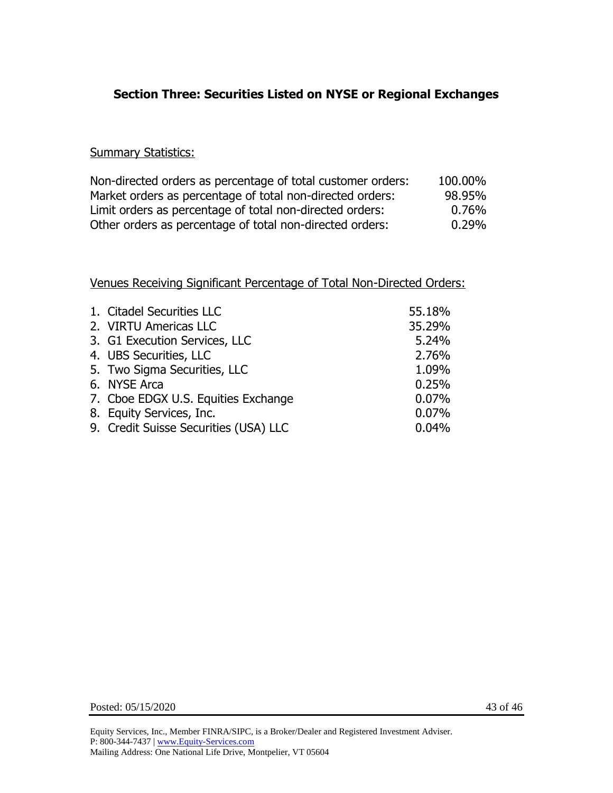# **Section Three: Securities Listed on NYSE or Regional Exchanges**

#### **Summary Statistics:**

| Non-directed orders as percentage of total customer orders: | 100.00% |
|-------------------------------------------------------------|---------|
| Market orders as percentage of total non-directed orders:   | 98.95%  |
| Limit orders as percentage of total non-directed orders:    | 0.76%   |
| Other orders as percentage of total non-directed orders:    | 0.29%   |

| 1. Citadel Securities LLC             | 55.18% |
|---------------------------------------|--------|
| 2. VIRTU Americas LLC                 | 35.29% |
| 3. G1 Execution Services, LLC         | 5.24%  |
| 4. UBS Securities, LLC                | 2.76%  |
| 5. Two Sigma Securities, LLC          | 1.09%  |
| 6. NYSE Arca                          | 0.25%  |
| 7. Cboe EDGX U.S. Equities Exchange   | 0.07%  |
| 8. Equity Services, Inc.              | 0.07%  |
| 9. Credit Suisse Securities (USA) LLC | 0.04%  |
|                                       |        |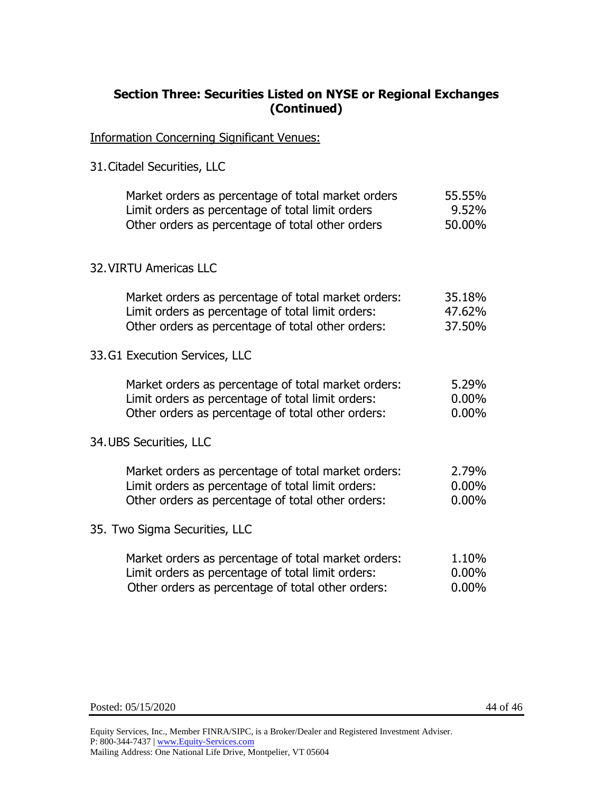### **Section Three: Securities Listed on NYSE or Regional Exchanges (Continued)**

Information Concerning Significant Venues:

31.Citadel Securities, LLC

| Market orders as percentage of total market orders<br>Limit orders as percentage of total limit orders<br>Other orders as percentage of total other orders    | 55.55%<br>9.52%<br>50.00%     |
|---------------------------------------------------------------------------------------------------------------------------------------------------------------|-------------------------------|
| <b>32. VIRTU Americas LLC</b>                                                                                                                                 |                               |
| Market orders as percentage of total market orders:<br>Limit orders as percentage of total limit orders:<br>Other orders as percentage of total other orders: | 35.18%<br>47.62%<br>37.50%    |
| 33.G1 Execution Services, LLC                                                                                                                                 |                               |
| Market orders as percentage of total market orders:<br>Limit orders as percentage of total limit orders:<br>Other orders as percentage of total other orders: | 5.29%<br>$0.00\%$<br>$0.00\%$ |
| 34. UBS Securities, LLC                                                                                                                                       |                               |
| Market orders as percentage of total market orders:<br>Limit orders as percentage of total limit orders:<br>Other orders as percentage of total other orders: | 2.79%<br>$0.00\%$<br>$0.00\%$ |
| 35. Two Sigma Securities, LLC                                                                                                                                 |                               |
| Market orders as percentage of total market orders:<br>Limit orders as percentage of total limit orders:<br>Other orders as percentage of total other orders: | 1.10%<br>$0.00\%$<br>$0.00\%$ |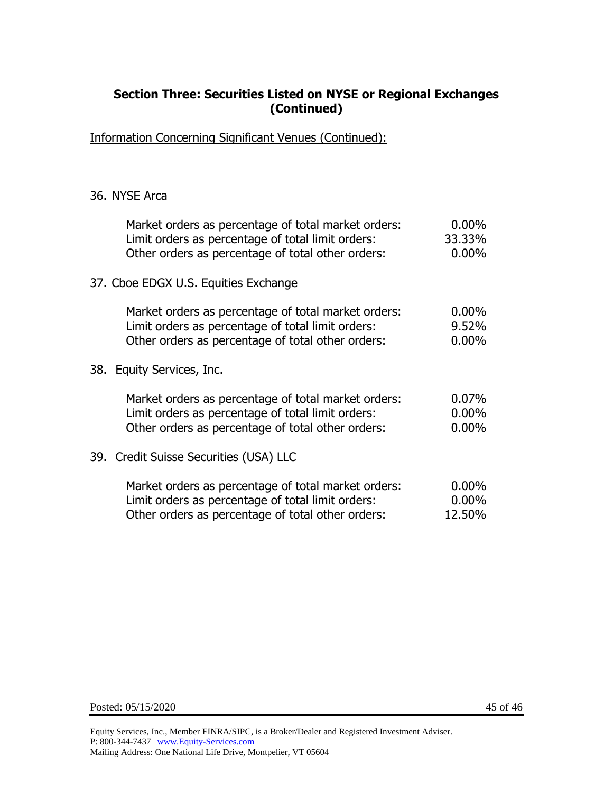### **Section Three: Securities Listed on NYSE or Regional Exchanges (Continued)**

Information Concerning Significant Venues (Continued):

#### 36. NYSE Arca

| Market orders as percentage of total market orders:<br>Limit orders as percentage of total limit orders:<br>Other orders as percentage of total other orders: | $0.00\%$<br>33.33%<br>$0.00\%$   |
|---------------------------------------------------------------------------------------------------------------------------------------------------------------|----------------------------------|
| 37. Cboe EDGX U.S. Equities Exchange                                                                                                                          |                                  |
| Market orders as percentage of total market orders:<br>Limit orders as percentage of total limit orders:<br>Other orders as percentage of total other orders: | $0.00\%$<br>9.52%<br>$0.00\%$    |
| 38. Equity Services, Inc.                                                                                                                                     |                                  |
| Market orders as percentage of total market orders:<br>Limit orders as percentage of total limit orders:<br>Other orders as percentage of total other orders: | $0.07\%$<br>$0.00\%$<br>$0.00\%$ |
| 39. Credit Suisse Securities (USA) LLC                                                                                                                        |                                  |
| Market orders as percentage of total market orders:<br>Limit orders as percentage of total limit orders:<br>Other orders as percentage of total other orders: | $0.00\%$<br>$0.00\%$<br>12.50%   |